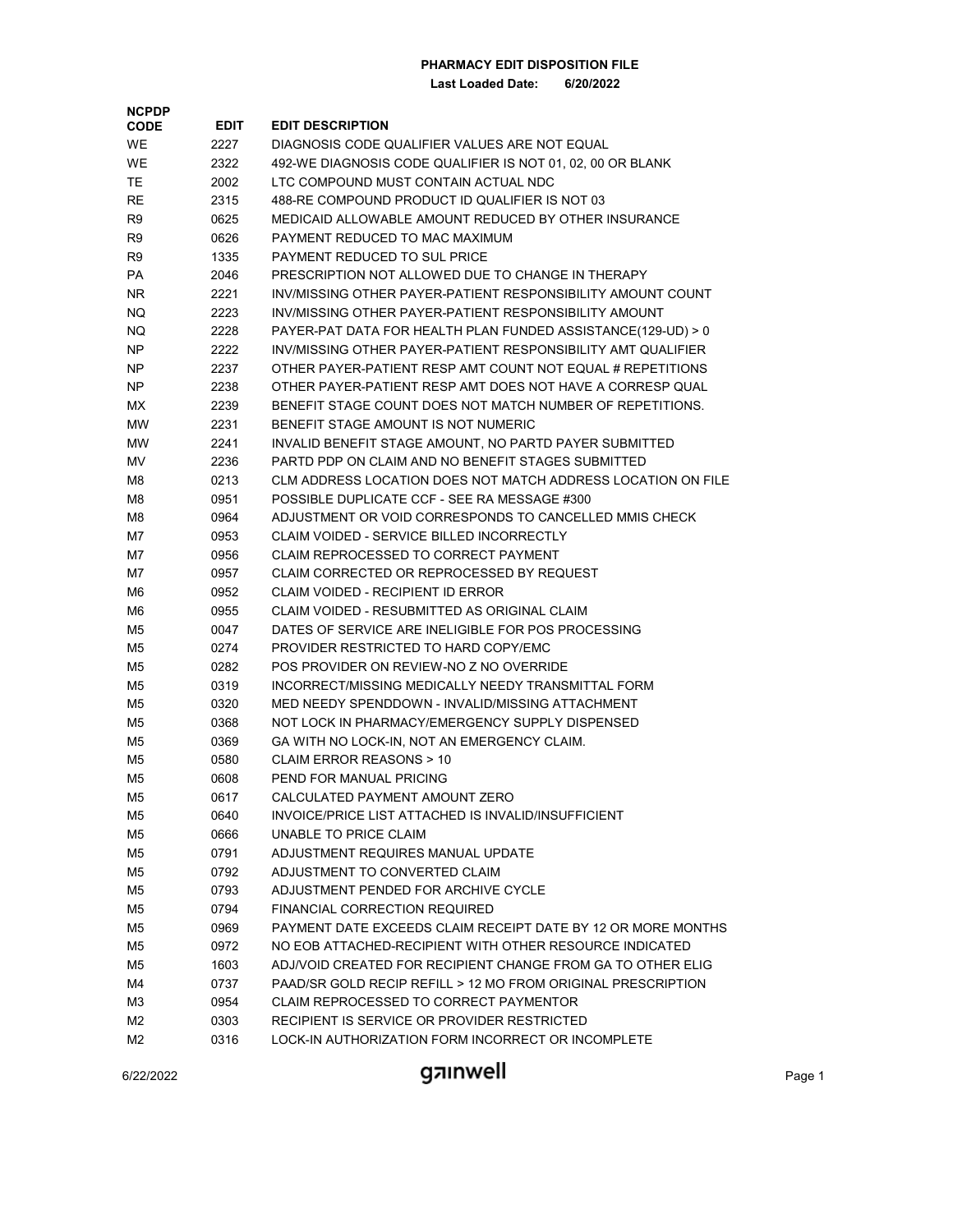| <b>NCPDP</b><br><b>CODE</b> | <b>EDIT</b> | <b>EDIT DESCRIPTION</b>                                                                            |
|-----------------------------|-------------|----------------------------------------------------------------------------------------------------|
| <b>WE</b>                   | 2227        | DIAGNOSIS CODE QUALIFIER VALUES ARE NOT EQUAL                                                      |
|                             |             |                                                                                                    |
| <b>WE</b>                   | 2322        | 492-WE DIAGNOSIS CODE QUALIFIER IS NOT 01, 02, 00 OR BLANK<br>LTC COMPOUND MUST CONTAIN ACTUAL NDC |
| TE                          | 2002        |                                                                                                    |
| RE                          | 2315        | 488-RE COMPOUND PRODUCT ID QUALIFIER IS NOT 03                                                     |
| R9                          | 0625        | MEDICAID ALLOWABLE AMOUNT REDUCED BY OTHER INSURANCE                                               |
| R9                          | 0626        | PAYMENT REDUCED TO MAC MAXIMUM                                                                     |
| R9                          | 1335        | PAYMENT REDUCED TO SUL PRICE                                                                       |
| PA                          | 2046        | PRESCRIPTION NOT ALLOWED DUE TO CHANGE IN THERAPY                                                  |
| NR.                         | 2221        | INV/MISSING OTHER PAYER-PATIENT RESPONSIBILITY AMOUNT COUNT                                        |
| NQ                          | 2223        | INV/MISSING OTHER PAYER-PATIENT RESPONSIBILITY AMOUNT                                              |
| NQ                          | 2228        | PAYER-PAT DATA FOR HEALTH PLAN FUNDED ASSISTANCE(129-UD) > 0                                       |
| NP                          | 2222        | INV/MISSING OTHER PAYER-PATIENT RESPONSIBILITY AMT QUALIFIER                                       |
| NP                          | 2237        | OTHER PAYER-PATIENT RESP AMT COUNT NOT EQUAL # REPETITIONS                                         |
| NP                          | 2238        | OTHER PAYER-PATIENT RESP AMT DOES NOT HAVE A CORRESP QUAL                                          |
| МX                          | 2239        | BENEFIT STAGE COUNT DOES NOT MATCH NUMBER OF REPETITIONS.                                          |
| МW                          | 2231        | BENEFIT STAGE AMOUNT IS NOT NUMERIC                                                                |
| MW                          | 2241        | INVALID BENEFIT STAGE AMOUNT, NO PARTD PAYER SUBMITTED                                             |
| MV                          | 2236        | PARTD PDP ON CLAIM AND NO BENEFIT STAGES SUBMITTED                                                 |
| M8                          | 0213        | CLM ADDRESS LOCATION DOES NOT MATCH ADDRESS LOCATION ON FILE                                       |
| M8                          | 0951        | POSSIBLE DUPLICATE CCF - SEE RA MESSAGE #300                                                       |
| M8                          | 0964        | ADJUSTMENT OR VOID CORRESPONDS TO CANCELLED MMIS CHECK                                             |
| M7                          | 0953        | <b>CLAIM VOIDED - SERVICE BILLED INCORRECTLY</b>                                                   |
| M7                          | 0956        | CLAIM REPROCESSED TO CORRECT PAYMENT                                                               |
| M7                          | 0957        | CLAIM CORRECTED OR REPROCESSED BY REQUEST                                                          |
| M6                          | 0952        | CLAIM VOIDED - RECIPIENT ID ERROR                                                                  |
| M6                          | 0955        | CLAIM VOIDED - RESUBMITTED AS ORIGINAL CLAIM                                                       |
| M5                          | 0047        | DATES OF SERVICE ARE INELIGIBLE FOR POS PROCESSING                                                 |
| M5                          | 0274        | PROVIDER RESTRICTED TO HARD COPY/EMC                                                               |
| M5                          | 0282        | POS PROVIDER ON REVIEW-NO Z NO OVERRIDE                                                            |
| M5                          | 0319        | INCORRECT/MISSING MEDICALLY NEEDY TRANSMITTAL FORM                                                 |
| M5                          | 0320        | MED NEEDY SPENDDOWN - INVALID/MISSING ATTACHMENT                                                   |
| M5                          | 0368        | NOT LOCK IN PHARMACY/EMERGENCY SUPPLY DISPENSED                                                    |
| M5                          | 0369        | GA WITH NO LOCK-IN, NOT AN EMERGENCY CLAIM.                                                        |
| M5                          | 0580        | CLAIM ERROR REASONS > 10                                                                           |
| M5                          | 0608        | PEND FOR MANUAL PRICING                                                                            |
| M5                          | 0617        | CALCULATED PAYMENT AMOUNT ZERO                                                                     |
| M5                          | 0640        | INVOICE/PRICE LIST ATTACHED IS INVALID/INSUFFICIENT                                                |
| M5                          | 0666        | UNABLE TO PRICE CLAIM                                                                              |
| M5                          | 0791        | ADJUSTMENT REQUIRES MANUAL UPDATE                                                                  |
| M5                          | 0792        | ADJUSTMENT TO CONVERTED CLAIM                                                                      |
| M5                          | 0793        | ADJUSTMENT PENDED FOR ARCHIVE CYCLE                                                                |
| M5                          | 0794        | FINANCIAL CORRECTION REQUIRED                                                                      |
| M5                          | 0969        | PAYMENT DATE EXCEEDS CLAIM RECEIPT DATE BY 12 OR MORE MONTHS                                       |
| M5                          | 0972        | NO EOB ATTACHED-RECIPIENT WITH OTHER RESOURCE INDICATED                                            |
| M5                          | 1603        | ADJ/VOID CREATED FOR RECIPIENT CHANGE FROM GA TO OTHER ELIG                                        |
| M4                          | 0737        | PAAD/SR GOLD RECIP REFILL > 12 MO FROM ORIGINAL PRESCRIPTION                                       |
| MЗ                          | 0954        | CLAIM REPROCESSED TO CORRECT PAYMENTOR                                                             |
| M2                          | 0303        | RECIPIENT IS SERVICE OR PROVIDER RESTRICTED                                                        |
| M2                          | 0316        | LOCK-IN AUTHORIZATION FORM INCORRECT OR INCOMPLETE                                                 |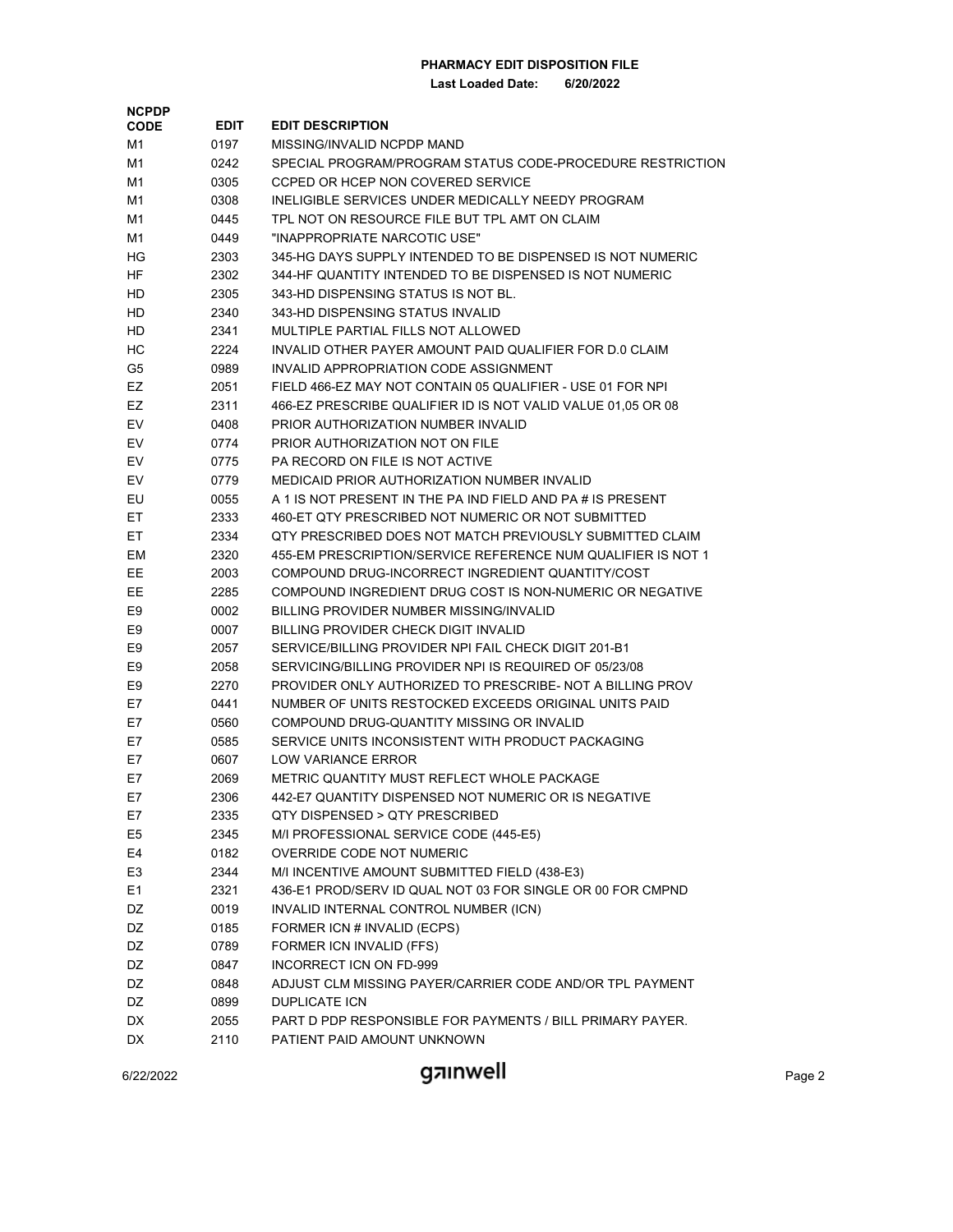**Last Loaded Date: 6/20/2022**

| <b>NCPDP</b>   |             |                                                              |
|----------------|-------------|--------------------------------------------------------------|
| <b>CODE</b>    | <b>EDIT</b> | <b>EDIT DESCRIPTION</b>                                      |
| M1             | 0197        | MISSING/INVALID NCPDP MAND                                   |
| M1             | 0242        | SPECIAL PROGRAM/PROGRAM STATUS CODE-PROCEDURE RESTRICTION    |
| M1             | 0305        | CCPED OR HCEP NON COVERED SERVICE                            |
| M1             | 0308        | INELIGIBLE SERVICES UNDER MEDICALLY NEEDY PROGRAM            |
| M1             | 0445        | TPL NOT ON RESOURCE FILE BUT TPL AMT ON CLAIM                |
| M1             | 0449        | "INAPPROPRIATE NARCOTIC USE"                                 |
| ΗG             | 2303        | 345-HG DAYS SUPPLY INTENDED TO BE DISPENSED IS NOT NUMERIC   |
| HF             | 2302        | 344-HF QUANTITY INTENDED TO BE DISPENSED IS NOT NUMERIC      |
| HD             | 2305        | 343-HD DISPENSING STATUS IS NOT BL.                          |
| HD             | 2340        | 343-HD DISPENSING STATUS INVALID                             |
| HD             | 2341        | MULTIPLE PARTIAL FILLS NOT ALLOWED                           |
| HС             | 2224        | INVALID OTHER PAYER AMOUNT PAID QUALIFIER FOR D.0 CLAIM      |
| G5             | 0989        | INVALID APPROPRIATION CODE ASSIGNMENT                        |
| EZ             | 2051        | FIELD 466-EZ MAY NOT CONTAIN 05 QUALIFIER - USE 01 FOR NPI   |
| EZ             | 2311        | 466-EZ PRESCRIBE QUALIFIER ID IS NOT VALID VALUE 01,05 OR 08 |
| EV             | 0408        | PRIOR AUTHORIZATION NUMBER INVALID                           |
| EV             | 0774        | PRIOR AUTHORIZATION NOT ON FILE                              |
| EV             | 0775        | PA RECORD ON FILE IS NOT ACTIVE                              |
| EV             | 0779        | MEDICAID PRIOR AUTHORIZATION NUMBER INVALID                  |
| EU             | 0055        | A 1 IS NOT PRESENT IN THE PA IND FIELD AND PA # IS PRESENT   |
| EТ             | 2333        | 460-ET QTY PRESCRIBED NOT NUMERIC OR NOT SUBMITTED           |
| EТ             | 2334        | QTY PRESCRIBED DOES NOT MATCH PREVIOUSLY SUBMITTED CLAIM     |
| EМ             | 2320        | 455-EM PRESCRIPTION/SERVICE REFERENCE NUM QUALIFIER IS NOT 1 |
| EЕ             | 2003        | COMPOUND DRUG-INCORRECT INGREDIENT QUANTITY/COST             |
| EЕ             | 2285        | COMPOUND INGREDIENT DRUG COST IS NON-NUMERIC OR NEGATIVE     |
| E9             | 0002        | BILLING PROVIDER NUMBER MISSING/INVALID                      |
| E9             | 0007        | BILLING PROVIDER CHECK DIGIT INVALID                         |
| E9             | 2057        | SERVICE/BILLING PROVIDER NPI FAIL CHECK DIGIT 201-B1         |
| E9             | 2058        | SERVICING/BILLING PROVIDER NPI IS REQUIRED OF 05/23/08       |
| E9             | 2270        | PROVIDER ONLY AUTHORIZED TO PRESCRIBE- NOT A BILLING PROV    |
| E7             | 0441        | NUMBER OF UNITS RESTOCKED EXCEEDS ORIGINAL UNITS PAID        |
| E7             | 0560        | COMPOUND DRUG-QUANTITY MISSING OR INVALID                    |
| E7             | 0585        | SERVICE UNITS INCONSISTENT WITH PRODUCT PACKAGING            |
| E7             | 0607        | LOW VARIANCE ERROR                                           |
| E7             | 2069        | METRIC QUANTITY MUST REFLECT WHOLE PACKAGE                   |
| E7             | 2306        | 442-E7 QUANTITY DISPENSED NOT NUMERIC OR IS NEGATIVE         |
| E7             | 2335        | QTY DISPENSED > QTY PRESCRIBED                               |
| E <sub>5</sub> | 2345        | M/I PROFESSIONAL SERVICE CODE (445-E5)                       |
| E4             | 0182        | OVERRIDE CODE NOT NUMERIC                                    |
| E <sub>3</sub> | 2344        | M/I INCENTIVE AMOUNT SUBMITTED FIELD (438-E3)                |
| E <sub>1</sub> | 2321        | 436-E1 PROD/SERV ID QUAL NOT 03 FOR SINGLE OR 00 FOR CMPND   |
| DZ             | 0019        | INVALID INTERNAL CONTROL NUMBER (ICN)                        |
| DZ             | 0185        | FORMER ICN # INVALID (ECPS)                                  |
| DZ             | 0789        | FORMER ICN INVALID (FFS)                                     |
| DZ             | 0847        | INCORRECT ICN ON FD-999                                      |
| DZ             | 0848        | ADJUST CLM MISSING PAYER/CARRIER CODE AND/OR TPL PAYMENT     |
| DZ             | 0899        | <b>DUPLICATE ICN</b>                                         |
| DX             | 2055        | PART D PDP RESPONSIBLE FOR PAYMENTS / BILL PRIMARY PAYER.    |
| DX             | 2110        | PATIENT PAID AMOUNT UNKNOWN                                  |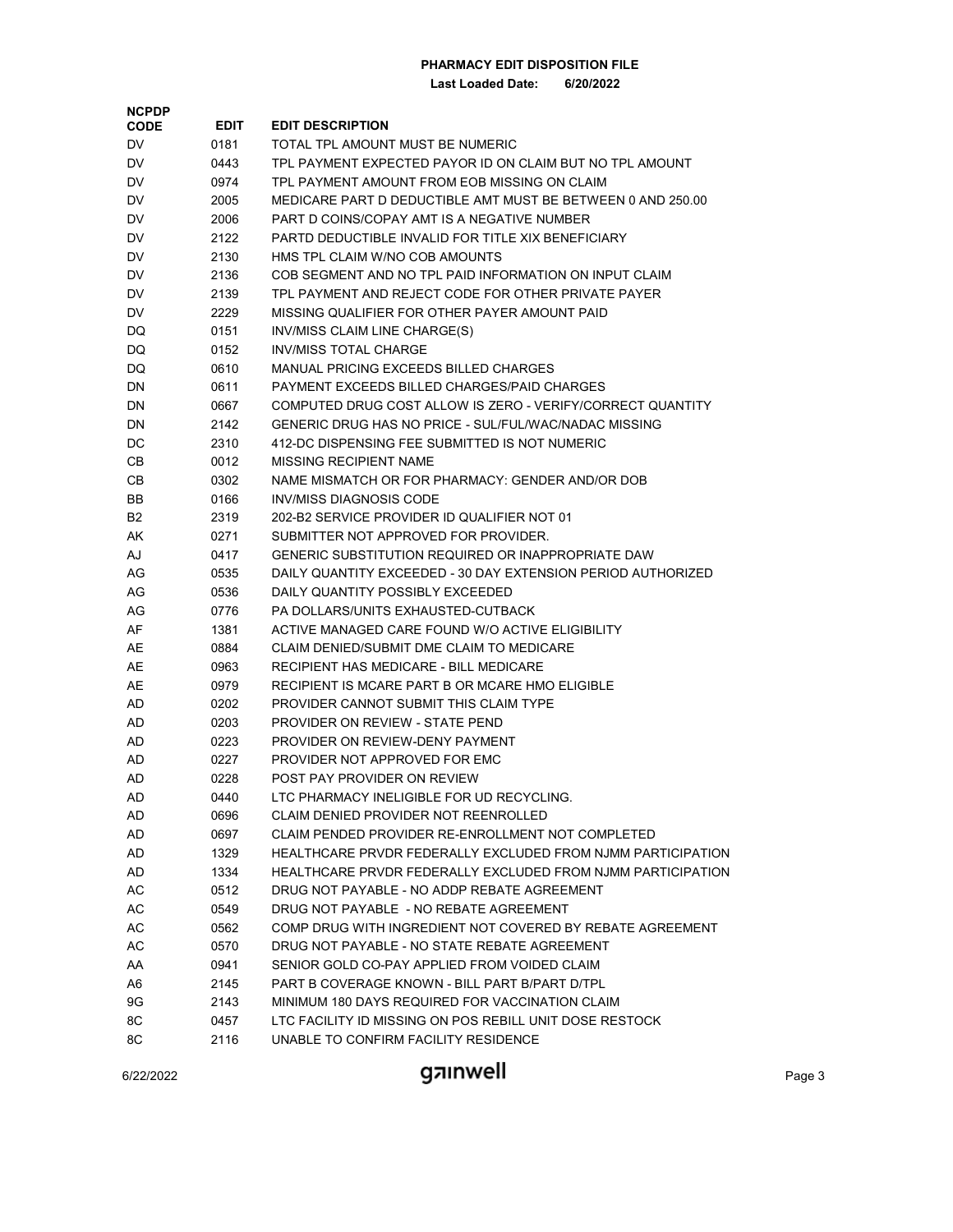**Last Loaded Date: 6/20/2022**

| <b>CODE</b><br>0181<br>TOTAL TPL AMOUNT MUST BE NUMERIC<br>DV.<br>0443<br>TPL PAYMENT EXPECTED PAYOR ID ON CLAIM BUT NO TPL AMOUNT<br>DV<br>TPL PAYMENT AMOUNT FROM EOB MISSING ON CLAIM<br>DV<br>0974<br>MEDICARE PART D DEDUCTIBLE AMT MUST BE BETWEEN 0 AND 250.00<br>DV<br>2005<br>PART D COINS/COPAY AMT IS A NEGATIVE NUMBER<br>DV<br>2006<br>PARTD DEDUCTIBLE INVALID FOR TITLE XIX BENEFICIARY<br>DV<br>2122<br>HMS TPL CLAIM W/NO COB AMOUNTS<br>DV<br>2130<br>COB SEGMENT AND NO TPL PAID INFORMATION ON INPUT CLAIM<br>DV<br>2136<br>TPL PAYMENT AND REJECT CODE FOR OTHER PRIVATE PAYER<br>DV<br>2139<br>MISSING QUALIFIER FOR OTHER PAYER AMOUNT PAID<br>DV<br>2229<br>DQ<br>0151<br>INV/MISS CLAIM LINE CHARGE(S)<br><b>INV/MISS TOTAL CHARGE</b><br>DQ<br>0152<br>MANUAL PRICING EXCEEDS BILLED CHARGES<br>DQ<br>0610<br>DN<br>0611<br>PAYMENT EXCEEDS BILLED CHARGES/PAID CHARGES<br>COMPUTED DRUG COST ALLOW IS ZERO - VERIFY/CORRECT QUANTITY<br>DN<br>0667<br>GENERIC DRUG HAS NO PRICE - SUL/FUL/WAC/NADAC MISSING<br>DN<br>2142<br>412-DC DISPENSING FEE SUBMITTED IS NOT NUMERIC<br>DC<br>2310<br>CВ<br>0012<br>MISSING RECIPIENT NAME<br>CВ<br>0302<br>NAME MISMATCH OR FOR PHARMACY: GENDER AND/OR DOB<br>INV/MISS DIAGNOSIS CODE<br>BB<br>0166<br>202-B2 SERVICE PROVIDER ID QUALIFIER NOT 01<br>B2<br>2319<br>SUBMITTER NOT APPROVED FOR PROVIDER.<br>AK<br>0271<br>AJ<br>0417<br>GENERIC SUBSTITUTION REQUIRED OR INAPPROPRIATE DAW<br>DAILY QUANTITY EXCEEDED - 30 DAY EXTENSION PERIOD AUTHORIZED<br>AG<br>0535<br>AG<br>0536<br>DAILY QUANTITY POSSIBLY EXCEEDED<br>PA DOLLARS/UNITS EXHAUSTED-CUTBACK<br>AG<br>0776<br>AF<br>ACTIVE MANAGED CARE FOUND W/O ACTIVE ELIGIBILITY<br>1381<br>AE<br>0884<br>CLAIM DENIED/SUBMIT DME CLAIM TO MEDICARE<br>AE<br>0963<br>RECIPIENT HAS MEDICARE - BILL MEDICARE<br>AE<br>0979<br>RECIPIENT IS MCARE PART B OR MCARE HMO ELIGIBLE<br>AD<br>0202<br>PROVIDER CANNOT SUBMIT THIS CLAIM TYPE<br>PROVIDER ON REVIEW - STATE PEND<br>AD<br>0203<br>AD<br>0223<br>PROVIDER ON REVIEW-DENY PAYMENT<br>AD<br>0227<br>PROVIDER NOT APPROVED FOR EMC<br>POST PAY PROVIDER ON REVIEW<br>AD<br>0228<br>LTC PHARMACY INELIGIBLE FOR UD RECYCLING.<br>AD<br>0440<br>CLAIM DENIED PROVIDER NOT REENROLLED<br>AD<br>0696<br>AD<br>CLAIM PENDED PROVIDER RE-ENROLLMENT NOT COMPLETED<br>0697<br>HEALTHCARE PRVDR FEDERALLY EXCLUDED FROM NJMM PARTICIPATION<br>AD<br>1329<br>HEALTHCARE PRVDR FEDERALLY EXCLUDED FROM NJMM PARTICIPATION<br>AD<br>1334<br>AC<br>DRUG NOT PAYABLE - NO ADDP REBATE AGREEMENT<br>0512<br>AC<br>DRUG NOT PAYABLE - NO REBATE AGREEMENT<br>0549<br>AC<br>COMP DRUG WITH INGREDIENT NOT COVERED BY REBATE AGREEMENT<br>0562<br>AC<br>DRUG NOT PAYABLE - NO STATE REBATE AGREEMENT<br>0570<br>SENIOR GOLD CO-PAY APPLIED FROM VOIDED CLAIM<br>AA<br>0941<br>PART B COVERAGE KNOWN - BILL PART B/PART D/TPL<br>A6<br>2145<br>9G<br>MINIMUM 180 DAYS REQUIRED FOR VACCINATION CLAIM<br>2143<br>8C<br>LTC FACILITY ID MISSING ON POS REBILL UNIT DOSE RESTOCK<br>0457 | <b>NCPDP</b> |             |                                      |
|----------------------------------------------------------------------------------------------------------------------------------------------------------------------------------------------------------------------------------------------------------------------------------------------------------------------------------------------------------------------------------------------------------------------------------------------------------------------------------------------------------------------------------------------------------------------------------------------------------------------------------------------------------------------------------------------------------------------------------------------------------------------------------------------------------------------------------------------------------------------------------------------------------------------------------------------------------------------------------------------------------------------------------------------------------------------------------------------------------------------------------------------------------------------------------------------------------------------------------------------------------------------------------------------------------------------------------------------------------------------------------------------------------------------------------------------------------------------------------------------------------------------------------------------------------------------------------------------------------------------------------------------------------------------------------------------------------------------------------------------------------------------------------------------------------------------------------------------------------------------------------------------------------------------------------------------------------------------------------------------------------------------------------------------------------------------------------------------------------------------------------------------------------------------------------------------------------------------------------------------------------------------------------------------------------------------------------------------------------------------------------------------------------------------------------------------------------------------------------------------------------------------------------------------------------------------------------------------------------------------------------------------------------------------------------------------------------------------------------------------------------------------------------------------------------------------------------------------------------------------------------------------------------------------------------------------------------------------------------------------------------------------------------------------------|--------------|-------------|--------------------------------------|
|                                                                                                                                                                                                                                                                                                                                                                                                                                                                                                                                                                                                                                                                                                                                                                                                                                                                                                                                                                                                                                                                                                                                                                                                                                                                                                                                                                                                                                                                                                                                                                                                                                                                                                                                                                                                                                                                                                                                                                                                                                                                                                                                                                                                                                                                                                                                                                                                                                                                                                                                                                                                                                                                                                                                                                                                                                                                                                                                                                                                                                                    |              | <b>EDIT</b> | <b>EDIT DESCRIPTION</b>              |
|                                                                                                                                                                                                                                                                                                                                                                                                                                                                                                                                                                                                                                                                                                                                                                                                                                                                                                                                                                                                                                                                                                                                                                                                                                                                                                                                                                                                                                                                                                                                                                                                                                                                                                                                                                                                                                                                                                                                                                                                                                                                                                                                                                                                                                                                                                                                                                                                                                                                                                                                                                                                                                                                                                                                                                                                                                                                                                                                                                                                                                                    |              |             |                                      |
|                                                                                                                                                                                                                                                                                                                                                                                                                                                                                                                                                                                                                                                                                                                                                                                                                                                                                                                                                                                                                                                                                                                                                                                                                                                                                                                                                                                                                                                                                                                                                                                                                                                                                                                                                                                                                                                                                                                                                                                                                                                                                                                                                                                                                                                                                                                                                                                                                                                                                                                                                                                                                                                                                                                                                                                                                                                                                                                                                                                                                                                    |              |             |                                      |
|                                                                                                                                                                                                                                                                                                                                                                                                                                                                                                                                                                                                                                                                                                                                                                                                                                                                                                                                                                                                                                                                                                                                                                                                                                                                                                                                                                                                                                                                                                                                                                                                                                                                                                                                                                                                                                                                                                                                                                                                                                                                                                                                                                                                                                                                                                                                                                                                                                                                                                                                                                                                                                                                                                                                                                                                                                                                                                                                                                                                                                                    |              |             |                                      |
|                                                                                                                                                                                                                                                                                                                                                                                                                                                                                                                                                                                                                                                                                                                                                                                                                                                                                                                                                                                                                                                                                                                                                                                                                                                                                                                                                                                                                                                                                                                                                                                                                                                                                                                                                                                                                                                                                                                                                                                                                                                                                                                                                                                                                                                                                                                                                                                                                                                                                                                                                                                                                                                                                                                                                                                                                                                                                                                                                                                                                                                    |              |             |                                      |
|                                                                                                                                                                                                                                                                                                                                                                                                                                                                                                                                                                                                                                                                                                                                                                                                                                                                                                                                                                                                                                                                                                                                                                                                                                                                                                                                                                                                                                                                                                                                                                                                                                                                                                                                                                                                                                                                                                                                                                                                                                                                                                                                                                                                                                                                                                                                                                                                                                                                                                                                                                                                                                                                                                                                                                                                                                                                                                                                                                                                                                                    |              |             |                                      |
|                                                                                                                                                                                                                                                                                                                                                                                                                                                                                                                                                                                                                                                                                                                                                                                                                                                                                                                                                                                                                                                                                                                                                                                                                                                                                                                                                                                                                                                                                                                                                                                                                                                                                                                                                                                                                                                                                                                                                                                                                                                                                                                                                                                                                                                                                                                                                                                                                                                                                                                                                                                                                                                                                                                                                                                                                                                                                                                                                                                                                                                    |              |             |                                      |
|                                                                                                                                                                                                                                                                                                                                                                                                                                                                                                                                                                                                                                                                                                                                                                                                                                                                                                                                                                                                                                                                                                                                                                                                                                                                                                                                                                                                                                                                                                                                                                                                                                                                                                                                                                                                                                                                                                                                                                                                                                                                                                                                                                                                                                                                                                                                                                                                                                                                                                                                                                                                                                                                                                                                                                                                                                                                                                                                                                                                                                                    |              |             |                                      |
|                                                                                                                                                                                                                                                                                                                                                                                                                                                                                                                                                                                                                                                                                                                                                                                                                                                                                                                                                                                                                                                                                                                                                                                                                                                                                                                                                                                                                                                                                                                                                                                                                                                                                                                                                                                                                                                                                                                                                                                                                                                                                                                                                                                                                                                                                                                                                                                                                                                                                                                                                                                                                                                                                                                                                                                                                                                                                                                                                                                                                                                    |              |             |                                      |
|                                                                                                                                                                                                                                                                                                                                                                                                                                                                                                                                                                                                                                                                                                                                                                                                                                                                                                                                                                                                                                                                                                                                                                                                                                                                                                                                                                                                                                                                                                                                                                                                                                                                                                                                                                                                                                                                                                                                                                                                                                                                                                                                                                                                                                                                                                                                                                                                                                                                                                                                                                                                                                                                                                                                                                                                                                                                                                                                                                                                                                                    |              |             |                                      |
|                                                                                                                                                                                                                                                                                                                                                                                                                                                                                                                                                                                                                                                                                                                                                                                                                                                                                                                                                                                                                                                                                                                                                                                                                                                                                                                                                                                                                                                                                                                                                                                                                                                                                                                                                                                                                                                                                                                                                                                                                                                                                                                                                                                                                                                                                                                                                                                                                                                                                                                                                                                                                                                                                                                                                                                                                                                                                                                                                                                                                                                    |              |             |                                      |
|                                                                                                                                                                                                                                                                                                                                                                                                                                                                                                                                                                                                                                                                                                                                                                                                                                                                                                                                                                                                                                                                                                                                                                                                                                                                                                                                                                                                                                                                                                                                                                                                                                                                                                                                                                                                                                                                                                                                                                                                                                                                                                                                                                                                                                                                                                                                                                                                                                                                                                                                                                                                                                                                                                                                                                                                                                                                                                                                                                                                                                                    |              |             |                                      |
|                                                                                                                                                                                                                                                                                                                                                                                                                                                                                                                                                                                                                                                                                                                                                                                                                                                                                                                                                                                                                                                                                                                                                                                                                                                                                                                                                                                                                                                                                                                                                                                                                                                                                                                                                                                                                                                                                                                                                                                                                                                                                                                                                                                                                                                                                                                                                                                                                                                                                                                                                                                                                                                                                                                                                                                                                                                                                                                                                                                                                                                    |              |             |                                      |
|                                                                                                                                                                                                                                                                                                                                                                                                                                                                                                                                                                                                                                                                                                                                                                                                                                                                                                                                                                                                                                                                                                                                                                                                                                                                                                                                                                                                                                                                                                                                                                                                                                                                                                                                                                                                                                                                                                                                                                                                                                                                                                                                                                                                                                                                                                                                                                                                                                                                                                                                                                                                                                                                                                                                                                                                                                                                                                                                                                                                                                                    |              |             |                                      |
|                                                                                                                                                                                                                                                                                                                                                                                                                                                                                                                                                                                                                                                                                                                                                                                                                                                                                                                                                                                                                                                                                                                                                                                                                                                                                                                                                                                                                                                                                                                                                                                                                                                                                                                                                                                                                                                                                                                                                                                                                                                                                                                                                                                                                                                                                                                                                                                                                                                                                                                                                                                                                                                                                                                                                                                                                                                                                                                                                                                                                                                    |              |             |                                      |
|                                                                                                                                                                                                                                                                                                                                                                                                                                                                                                                                                                                                                                                                                                                                                                                                                                                                                                                                                                                                                                                                                                                                                                                                                                                                                                                                                                                                                                                                                                                                                                                                                                                                                                                                                                                                                                                                                                                                                                                                                                                                                                                                                                                                                                                                                                                                                                                                                                                                                                                                                                                                                                                                                                                                                                                                                                                                                                                                                                                                                                                    |              |             |                                      |
|                                                                                                                                                                                                                                                                                                                                                                                                                                                                                                                                                                                                                                                                                                                                                                                                                                                                                                                                                                                                                                                                                                                                                                                                                                                                                                                                                                                                                                                                                                                                                                                                                                                                                                                                                                                                                                                                                                                                                                                                                                                                                                                                                                                                                                                                                                                                                                                                                                                                                                                                                                                                                                                                                                                                                                                                                                                                                                                                                                                                                                                    |              |             |                                      |
|                                                                                                                                                                                                                                                                                                                                                                                                                                                                                                                                                                                                                                                                                                                                                                                                                                                                                                                                                                                                                                                                                                                                                                                                                                                                                                                                                                                                                                                                                                                                                                                                                                                                                                                                                                                                                                                                                                                                                                                                                                                                                                                                                                                                                                                                                                                                                                                                                                                                                                                                                                                                                                                                                                                                                                                                                                                                                                                                                                                                                                                    |              |             |                                      |
|                                                                                                                                                                                                                                                                                                                                                                                                                                                                                                                                                                                                                                                                                                                                                                                                                                                                                                                                                                                                                                                                                                                                                                                                                                                                                                                                                                                                                                                                                                                                                                                                                                                                                                                                                                                                                                                                                                                                                                                                                                                                                                                                                                                                                                                                                                                                                                                                                                                                                                                                                                                                                                                                                                                                                                                                                                                                                                                                                                                                                                                    |              |             |                                      |
|                                                                                                                                                                                                                                                                                                                                                                                                                                                                                                                                                                                                                                                                                                                                                                                                                                                                                                                                                                                                                                                                                                                                                                                                                                                                                                                                                                                                                                                                                                                                                                                                                                                                                                                                                                                                                                                                                                                                                                                                                                                                                                                                                                                                                                                                                                                                                                                                                                                                                                                                                                                                                                                                                                                                                                                                                                                                                                                                                                                                                                                    |              |             |                                      |
|                                                                                                                                                                                                                                                                                                                                                                                                                                                                                                                                                                                                                                                                                                                                                                                                                                                                                                                                                                                                                                                                                                                                                                                                                                                                                                                                                                                                                                                                                                                                                                                                                                                                                                                                                                                                                                                                                                                                                                                                                                                                                                                                                                                                                                                                                                                                                                                                                                                                                                                                                                                                                                                                                                                                                                                                                                                                                                                                                                                                                                                    |              |             |                                      |
|                                                                                                                                                                                                                                                                                                                                                                                                                                                                                                                                                                                                                                                                                                                                                                                                                                                                                                                                                                                                                                                                                                                                                                                                                                                                                                                                                                                                                                                                                                                                                                                                                                                                                                                                                                                                                                                                                                                                                                                                                                                                                                                                                                                                                                                                                                                                                                                                                                                                                                                                                                                                                                                                                                                                                                                                                                                                                                                                                                                                                                                    |              |             |                                      |
|                                                                                                                                                                                                                                                                                                                                                                                                                                                                                                                                                                                                                                                                                                                                                                                                                                                                                                                                                                                                                                                                                                                                                                                                                                                                                                                                                                                                                                                                                                                                                                                                                                                                                                                                                                                                                                                                                                                                                                                                                                                                                                                                                                                                                                                                                                                                                                                                                                                                                                                                                                                                                                                                                                                                                                                                                                                                                                                                                                                                                                                    |              |             |                                      |
|                                                                                                                                                                                                                                                                                                                                                                                                                                                                                                                                                                                                                                                                                                                                                                                                                                                                                                                                                                                                                                                                                                                                                                                                                                                                                                                                                                                                                                                                                                                                                                                                                                                                                                                                                                                                                                                                                                                                                                                                                                                                                                                                                                                                                                                                                                                                                                                                                                                                                                                                                                                                                                                                                                                                                                                                                                                                                                                                                                                                                                                    |              |             |                                      |
|                                                                                                                                                                                                                                                                                                                                                                                                                                                                                                                                                                                                                                                                                                                                                                                                                                                                                                                                                                                                                                                                                                                                                                                                                                                                                                                                                                                                                                                                                                                                                                                                                                                                                                                                                                                                                                                                                                                                                                                                                                                                                                                                                                                                                                                                                                                                                                                                                                                                                                                                                                                                                                                                                                                                                                                                                                                                                                                                                                                                                                                    |              |             |                                      |
|                                                                                                                                                                                                                                                                                                                                                                                                                                                                                                                                                                                                                                                                                                                                                                                                                                                                                                                                                                                                                                                                                                                                                                                                                                                                                                                                                                                                                                                                                                                                                                                                                                                                                                                                                                                                                                                                                                                                                                                                                                                                                                                                                                                                                                                                                                                                                                                                                                                                                                                                                                                                                                                                                                                                                                                                                                                                                                                                                                                                                                                    |              |             |                                      |
|                                                                                                                                                                                                                                                                                                                                                                                                                                                                                                                                                                                                                                                                                                                                                                                                                                                                                                                                                                                                                                                                                                                                                                                                                                                                                                                                                                                                                                                                                                                                                                                                                                                                                                                                                                                                                                                                                                                                                                                                                                                                                                                                                                                                                                                                                                                                                                                                                                                                                                                                                                                                                                                                                                                                                                                                                                                                                                                                                                                                                                                    |              |             |                                      |
|                                                                                                                                                                                                                                                                                                                                                                                                                                                                                                                                                                                                                                                                                                                                                                                                                                                                                                                                                                                                                                                                                                                                                                                                                                                                                                                                                                                                                                                                                                                                                                                                                                                                                                                                                                                                                                                                                                                                                                                                                                                                                                                                                                                                                                                                                                                                                                                                                                                                                                                                                                                                                                                                                                                                                                                                                                                                                                                                                                                                                                                    |              |             |                                      |
|                                                                                                                                                                                                                                                                                                                                                                                                                                                                                                                                                                                                                                                                                                                                                                                                                                                                                                                                                                                                                                                                                                                                                                                                                                                                                                                                                                                                                                                                                                                                                                                                                                                                                                                                                                                                                                                                                                                                                                                                                                                                                                                                                                                                                                                                                                                                                                                                                                                                                                                                                                                                                                                                                                                                                                                                                                                                                                                                                                                                                                                    |              |             |                                      |
|                                                                                                                                                                                                                                                                                                                                                                                                                                                                                                                                                                                                                                                                                                                                                                                                                                                                                                                                                                                                                                                                                                                                                                                                                                                                                                                                                                                                                                                                                                                                                                                                                                                                                                                                                                                                                                                                                                                                                                                                                                                                                                                                                                                                                                                                                                                                                                                                                                                                                                                                                                                                                                                                                                                                                                                                                                                                                                                                                                                                                                                    |              |             |                                      |
|                                                                                                                                                                                                                                                                                                                                                                                                                                                                                                                                                                                                                                                                                                                                                                                                                                                                                                                                                                                                                                                                                                                                                                                                                                                                                                                                                                                                                                                                                                                                                                                                                                                                                                                                                                                                                                                                                                                                                                                                                                                                                                                                                                                                                                                                                                                                                                                                                                                                                                                                                                                                                                                                                                                                                                                                                                                                                                                                                                                                                                                    |              |             |                                      |
|                                                                                                                                                                                                                                                                                                                                                                                                                                                                                                                                                                                                                                                                                                                                                                                                                                                                                                                                                                                                                                                                                                                                                                                                                                                                                                                                                                                                                                                                                                                                                                                                                                                                                                                                                                                                                                                                                                                                                                                                                                                                                                                                                                                                                                                                                                                                                                                                                                                                                                                                                                                                                                                                                                                                                                                                                                                                                                                                                                                                                                                    |              |             |                                      |
|                                                                                                                                                                                                                                                                                                                                                                                                                                                                                                                                                                                                                                                                                                                                                                                                                                                                                                                                                                                                                                                                                                                                                                                                                                                                                                                                                                                                                                                                                                                                                                                                                                                                                                                                                                                                                                                                                                                                                                                                                                                                                                                                                                                                                                                                                                                                                                                                                                                                                                                                                                                                                                                                                                                                                                                                                                                                                                                                                                                                                                                    |              |             |                                      |
|                                                                                                                                                                                                                                                                                                                                                                                                                                                                                                                                                                                                                                                                                                                                                                                                                                                                                                                                                                                                                                                                                                                                                                                                                                                                                                                                                                                                                                                                                                                                                                                                                                                                                                                                                                                                                                                                                                                                                                                                                                                                                                                                                                                                                                                                                                                                                                                                                                                                                                                                                                                                                                                                                                                                                                                                                                                                                                                                                                                                                                                    |              |             |                                      |
|                                                                                                                                                                                                                                                                                                                                                                                                                                                                                                                                                                                                                                                                                                                                                                                                                                                                                                                                                                                                                                                                                                                                                                                                                                                                                                                                                                                                                                                                                                                                                                                                                                                                                                                                                                                                                                                                                                                                                                                                                                                                                                                                                                                                                                                                                                                                                                                                                                                                                                                                                                                                                                                                                                                                                                                                                                                                                                                                                                                                                                                    |              |             |                                      |
|                                                                                                                                                                                                                                                                                                                                                                                                                                                                                                                                                                                                                                                                                                                                                                                                                                                                                                                                                                                                                                                                                                                                                                                                                                                                                                                                                                                                                                                                                                                                                                                                                                                                                                                                                                                                                                                                                                                                                                                                                                                                                                                                                                                                                                                                                                                                                                                                                                                                                                                                                                                                                                                                                                                                                                                                                                                                                                                                                                                                                                                    |              |             |                                      |
|                                                                                                                                                                                                                                                                                                                                                                                                                                                                                                                                                                                                                                                                                                                                                                                                                                                                                                                                                                                                                                                                                                                                                                                                                                                                                                                                                                                                                                                                                                                                                                                                                                                                                                                                                                                                                                                                                                                                                                                                                                                                                                                                                                                                                                                                                                                                                                                                                                                                                                                                                                                                                                                                                                                                                                                                                                                                                                                                                                                                                                                    |              |             |                                      |
|                                                                                                                                                                                                                                                                                                                                                                                                                                                                                                                                                                                                                                                                                                                                                                                                                                                                                                                                                                                                                                                                                                                                                                                                                                                                                                                                                                                                                                                                                                                                                                                                                                                                                                                                                                                                                                                                                                                                                                                                                                                                                                                                                                                                                                                                                                                                                                                                                                                                                                                                                                                                                                                                                                                                                                                                                                                                                                                                                                                                                                                    |              |             |                                      |
|                                                                                                                                                                                                                                                                                                                                                                                                                                                                                                                                                                                                                                                                                                                                                                                                                                                                                                                                                                                                                                                                                                                                                                                                                                                                                                                                                                                                                                                                                                                                                                                                                                                                                                                                                                                                                                                                                                                                                                                                                                                                                                                                                                                                                                                                                                                                                                                                                                                                                                                                                                                                                                                                                                                                                                                                                                                                                                                                                                                                                                                    |              |             |                                      |
|                                                                                                                                                                                                                                                                                                                                                                                                                                                                                                                                                                                                                                                                                                                                                                                                                                                                                                                                                                                                                                                                                                                                                                                                                                                                                                                                                                                                                                                                                                                                                                                                                                                                                                                                                                                                                                                                                                                                                                                                                                                                                                                                                                                                                                                                                                                                                                                                                                                                                                                                                                                                                                                                                                                                                                                                                                                                                                                                                                                                                                                    |              |             |                                      |
|                                                                                                                                                                                                                                                                                                                                                                                                                                                                                                                                                                                                                                                                                                                                                                                                                                                                                                                                                                                                                                                                                                                                                                                                                                                                                                                                                                                                                                                                                                                                                                                                                                                                                                                                                                                                                                                                                                                                                                                                                                                                                                                                                                                                                                                                                                                                                                                                                                                                                                                                                                                                                                                                                                                                                                                                                                                                                                                                                                                                                                                    |              |             |                                      |
|                                                                                                                                                                                                                                                                                                                                                                                                                                                                                                                                                                                                                                                                                                                                                                                                                                                                                                                                                                                                                                                                                                                                                                                                                                                                                                                                                                                                                                                                                                                                                                                                                                                                                                                                                                                                                                                                                                                                                                                                                                                                                                                                                                                                                                                                                                                                                                                                                                                                                                                                                                                                                                                                                                                                                                                                                                                                                                                                                                                                                                                    |              |             |                                      |
|                                                                                                                                                                                                                                                                                                                                                                                                                                                                                                                                                                                                                                                                                                                                                                                                                                                                                                                                                                                                                                                                                                                                                                                                                                                                                                                                                                                                                                                                                                                                                                                                                                                                                                                                                                                                                                                                                                                                                                                                                                                                                                                                                                                                                                                                                                                                                                                                                                                                                                                                                                                                                                                                                                                                                                                                                                                                                                                                                                                                                                                    |              |             |                                      |
|                                                                                                                                                                                                                                                                                                                                                                                                                                                                                                                                                                                                                                                                                                                                                                                                                                                                                                                                                                                                                                                                                                                                                                                                                                                                                                                                                                                                                                                                                                                                                                                                                                                                                                                                                                                                                                                                                                                                                                                                                                                                                                                                                                                                                                                                                                                                                                                                                                                                                                                                                                                                                                                                                                                                                                                                                                                                                                                                                                                                                                                    |              |             |                                      |
|                                                                                                                                                                                                                                                                                                                                                                                                                                                                                                                                                                                                                                                                                                                                                                                                                                                                                                                                                                                                                                                                                                                                                                                                                                                                                                                                                                                                                                                                                                                                                                                                                                                                                                                                                                                                                                                                                                                                                                                                                                                                                                                                                                                                                                                                                                                                                                                                                                                                                                                                                                                                                                                                                                                                                                                                                                                                                                                                                                                                                                                    |              |             |                                      |
|                                                                                                                                                                                                                                                                                                                                                                                                                                                                                                                                                                                                                                                                                                                                                                                                                                                                                                                                                                                                                                                                                                                                                                                                                                                                                                                                                                                                                                                                                                                                                                                                                                                                                                                                                                                                                                                                                                                                                                                                                                                                                                                                                                                                                                                                                                                                                                                                                                                                                                                                                                                                                                                                                                                                                                                                                                                                                                                                                                                                                                                    |              |             |                                      |
|                                                                                                                                                                                                                                                                                                                                                                                                                                                                                                                                                                                                                                                                                                                                                                                                                                                                                                                                                                                                                                                                                                                                                                                                                                                                                                                                                                                                                                                                                                                                                                                                                                                                                                                                                                                                                                                                                                                                                                                                                                                                                                                                                                                                                                                                                                                                                                                                                                                                                                                                                                                                                                                                                                                                                                                                                                                                                                                                                                                                                                                    |              |             |                                      |
|                                                                                                                                                                                                                                                                                                                                                                                                                                                                                                                                                                                                                                                                                                                                                                                                                                                                                                                                                                                                                                                                                                                                                                                                                                                                                                                                                                                                                                                                                                                                                                                                                                                                                                                                                                                                                                                                                                                                                                                                                                                                                                                                                                                                                                                                                                                                                                                                                                                                                                                                                                                                                                                                                                                                                                                                                                                                                                                                                                                                                                                    |              |             |                                      |
|                                                                                                                                                                                                                                                                                                                                                                                                                                                                                                                                                                                                                                                                                                                                                                                                                                                                                                                                                                                                                                                                                                                                                                                                                                                                                                                                                                                                                                                                                                                                                                                                                                                                                                                                                                                                                                                                                                                                                                                                                                                                                                                                                                                                                                                                                                                                                                                                                                                                                                                                                                                                                                                                                                                                                                                                                                                                                                                                                                                                                                                    |              |             |                                      |
|                                                                                                                                                                                                                                                                                                                                                                                                                                                                                                                                                                                                                                                                                                                                                                                                                                                                                                                                                                                                                                                                                                                                                                                                                                                                                                                                                                                                                                                                                                                                                                                                                                                                                                                                                                                                                                                                                                                                                                                                                                                                                                                                                                                                                                                                                                                                                                                                                                                                                                                                                                                                                                                                                                                                                                                                                                                                                                                                                                                                                                                    | 8C           | 2116        | UNABLE TO CONFIRM FACILITY RESIDENCE |

# 6/22/2022 **CONTROLL CONTROLL CONTROLL Page 3**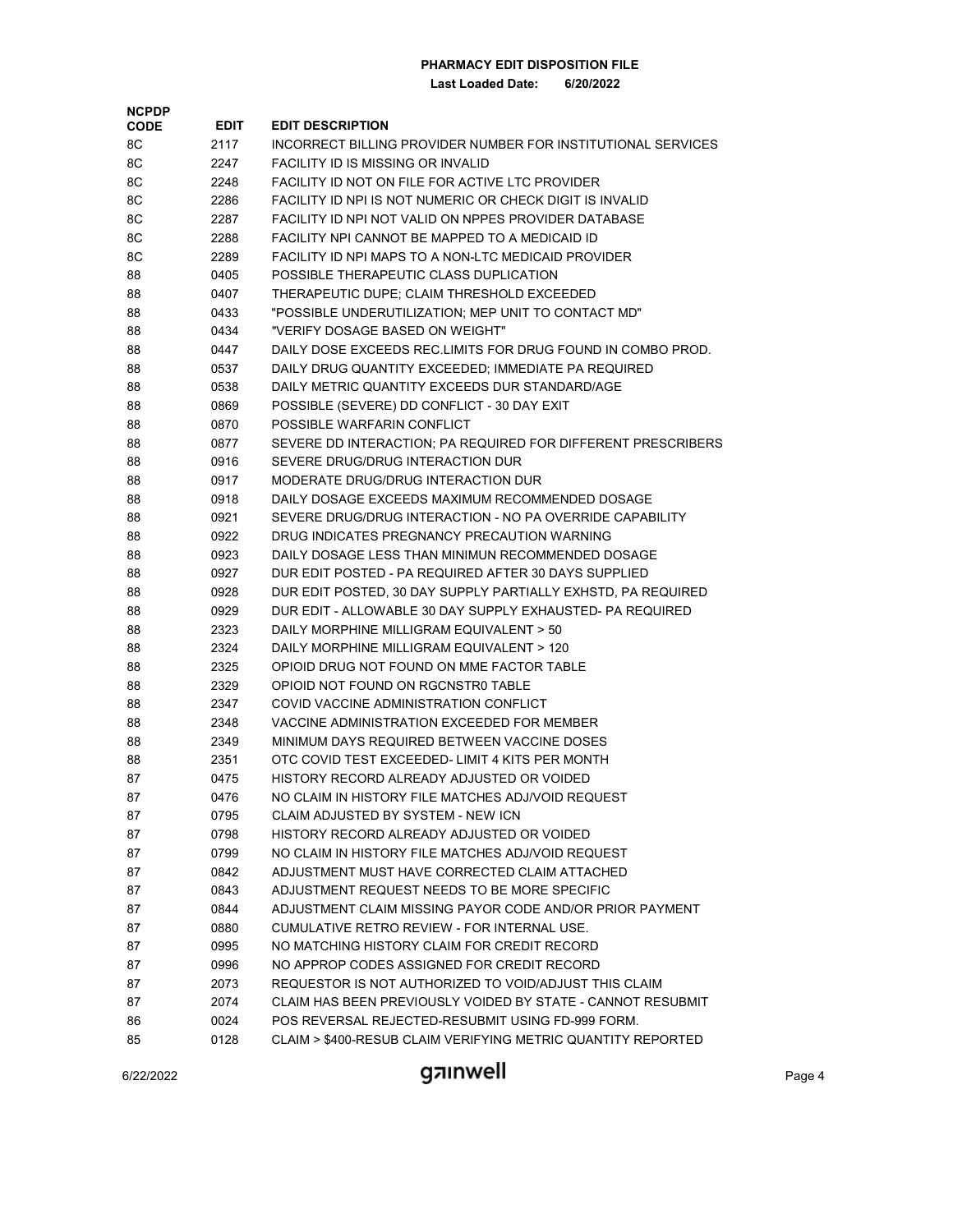| <b>NCPDP</b> |      |                                                                                           |
|--------------|------|-------------------------------------------------------------------------------------------|
| <b>CODE</b>  | EDIT | <b>EDIT DESCRIPTION</b>                                                                   |
| 8C           | 2117 | INCORRECT BILLING PROVIDER NUMBER FOR INSTITUTIONAL SERVICES                              |
| 8C           | 2247 | FACILITY ID IS MISSING OR INVALID                                                         |
| 8C           | 2248 | FACILITY ID NOT ON FILE FOR ACTIVE LTC PROVIDER                                           |
| 8C           | 2286 | FACILITY ID NPI IS NOT NUMERIC OR CHECK DIGIT IS INVALID                                  |
| 8C           | 2287 | FACILITY ID NPI NOT VALID ON NPPES PROVIDER DATABASE                                      |
| 8C           | 2288 | FACILITY NPI CANNOT BE MAPPED TO A MEDICAID ID                                            |
| 8C           | 2289 | FACILITY ID NPI MAPS TO A NON-LTC MEDICAID PROVIDER                                       |
| 88           | 0405 | POSSIBLE THERAPEUTIC CLASS DUPLICATION                                                    |
| 88           | 0407 | THERAPEUTIC DUPE; CLAIM THRESHOLD EXCEEDED                                                |
| 88           | 0433 | "POSSIBLE UNDERUTILIZATION; MEP UNIT TO CONTACT MD"                                       |
| 88           | 0434 | "VERIFY DOSAGE BASED ON WEIGHT"                                                           |
| 88           | 0447 | DAILY DOSE EXCEEDS REC.LIMITS FOR DRUG FOUND IN COMBO PROD.                               |
| 88           | 0537 | DAILY DRUG QUANTITY EXCEEDED; IMMEDIATE PA REQUIRED                                       |
| 88           | 0538 | DAILY METRIC QUANTITY EXCEEDS DUR STANDARD/AGE                                            |
| 88           | 0869 | POSSIBLE (SEVERE) DD CONFLICT - 30 DAY EXIT                                               |
| 88           | 0870 | POSSIBLE WARFARIN CONFLICT                                                                |
| 88           | 0877 | SEVERE DD INTERACTION; PA REQUIRED FOR DIFFERENT PRESCRIBERS                              |
| 88           | 0916 | SEVERE DRUG/DRUG INTERACTION DUR                                                          |
| 88           | 0917 | MODERATE DRUG/DRUG INTERACTION DUR                                                        |
| 88           | 0918 | DAILY DOSAGE EXCEEDS MAXIMUM RECOMMENDED DOSAGE                                           |
| 88           | 0921 | SEVERE DRUG/DRUG INTERACTION - NO PA OVERRIDE CAPABILITY                                  |
| 88           | 0922 | DRUG INDICATES PREGNANCY PRECAUTION WARNING                                               |
| 88           | 0923 | DAILY DOSAGE LESS THAN MINIMUN RECOMMENDED DOSAGE                                         |
| 88           | 0927 | DUR EDIT POSTED - PA REQUIRED AFTER 30 DAYS SUPPLIED                                      |
| 88           | 0928 | DUR EDIT POSTED, 30 DAY SUPPLY PARTIALLY EXHSTD, PA REQUIRED                              |
| 88           | 0929 | DUR EDIT - ALLOWABLE 30 DAY SUPPLY EXHAUSTED- PA REQUIRED                                 |
| 88           | 2323 | DAILY MORPHINE MILLIGRAM EQUIVALENT > 50                                                  |
| 88           | 2324 | DAILY MORPHINE MILLIGRAM EQUIVALENT > 120                                                 |
| 88           | 2325 | OPIOID DRUG NOT FOUND ON MME FACTOR TABLE                                                 |
| 88           | 2329 | OPIOID NOT FOUND ON RGCNSTR0 TABLE                                                        |
| 88           | 2347 | COVID VACCINE ADMINISTRATION CONFLICT                                                     |
| 88           | 2348 | VACCINE ADMINISTRATION EXCEEDED FOR MEMBER                                                |
| 88           | 2349 | MINIMUM DAYS REQUIRED BETWEEN VACCINE DOSES                                               |
| 88           | 2351 | OTC COVID TEST EXCEEDED- LIMIT 4 KITS PER MONTH                                           |
| 87           | 0475 | HISTORY RECORD ALREADY ADJUSTED OR VOIDED                                                 |
| 87           | 0476 | NO CLAIM IN HISTORY FILE MATCHES ADJ/VOID REQUEST                                         |
| 87           | 0795 | CLAIM ADJUSTED BY SYSTEM - NEW ICN                                                        |
| 87           | 0798 | HISTORY RECORD ALREADY ADJUSTED OR VOIDED                                                 |
| 87           | 0799 | NO CLAIM IN HISTORY FILE MATCHES ADJ/VOID REQUEST                                         |
| 87           | 0842 | ADJUSTMENT MUST HAVE CORRECTED CLAIM ATTACHED                                             |
| 87           | 0843 | ADJUSTMENT REQUEST NEEDS TO BE MORE SPECIFIC                                              |
| 87           | 0844 | ADJUSTMENT CLAIM MISSING PAYOR CODE AND/OR PRIOR PAYMENT                                  |
| 87           | 0880 | CUMULATIVE RETRO REVIEW - FOR INTERNAL USE.                                               |
|              |      |                                                                                           |
| 87           | 0995 | NO MATCHING HISTORY CLAIM FOR CREDIT RECORD<br>NO APPROP CODES ASSIGNED FOR CREDIT RECORD |
| 87           | 0996 |                                                                                           |
| 87           | 2073 | REQUESTOR IS NOT AUTHORIZED TO VOID/ADJUST THIS CLAIM                                     |
| 87           | 2074 | CLAIM HAS BEEN PREVIOUSLY VOIDED BY STATE - CANNOT RESUBMIT                               |
| 86           | 0024 | POS REVERSAL REJECTED-RESUBMIT USING FD-999 FORM.                                         |
| 85           | 0128 | CLAIM > \$400-RESUB CLAIM VERIFYING METRIC QUANTITY REPORTED                              |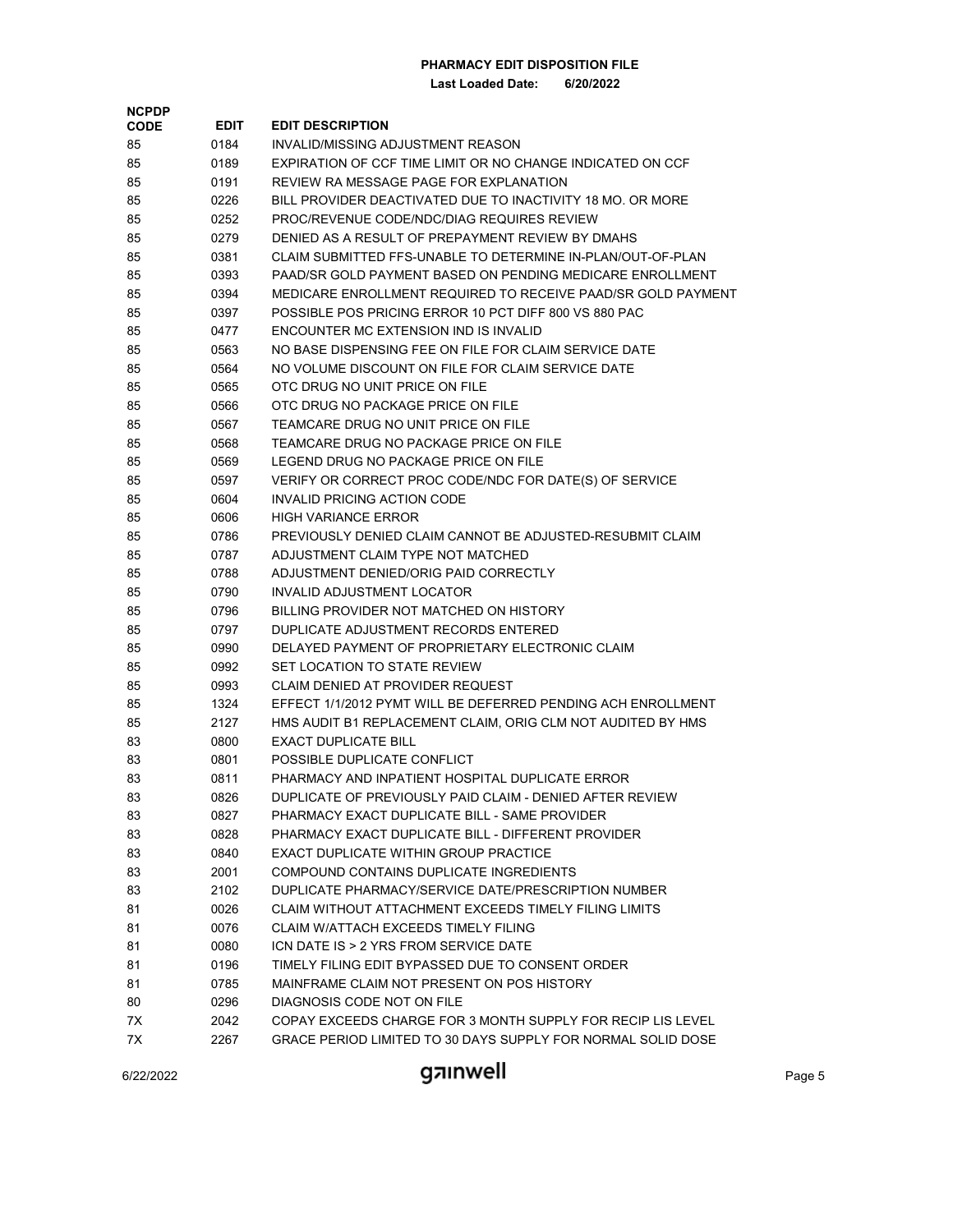**Last Loaded Date: 6/20/2022**

| <b>NCPDP</b> |      |                                                                                           |
|--------------|------|-------------------------------------------------------------------------------------------|
| <b>CODE</b>  | EDIT | <b>EDIT DESCRIPTION</b>                                                                   |
| 85           | 0184 | INVALID/MISSING ADJUSTMENT REASON                                                         |
| 85           | 0189 | EXPIRATION OF CCF TIME LIMIT OR NO CHANGE INDICATED ON CCF                                |
| 85           | 0191 | REVIEW RA MESSAGE PAGE FOR EXPLANATION                                                    |
| 85           | 0226 | BILL PROVIDER DEACTIVATED DUE TO INACTIVITY 18 MO. OR MORE                                |
| 85           | 0252 | PROC/REVENUE CODE/NDC/DIAG REQUIRES REVIEW                                                |
| 85           | 0279 | DENIED AS A RESULT OF PREPAYMENT REVIEW BY DMAHS                                          |
| 85           | 0381 | CLAIM SUBMITTED FFS-UNABLE TO DETERMINE IN-PLAN/OUT-OF-PLAN                               |
| 85           | 0393 | PAAD/SR GOLD PAYMENT BASED ON PENDING MEDICARE ENROLLMENT                                 |
| 85           | 0394 | MEDICARE ENROLLMENT REQUIRED TO RECEIVE PAAD/SR GOLD PAYMENT                              |
| 85           | 0397 | POSSIBLE POS PRICING ERROR 10 PCT DIFF 800 VS 880 PAC                                     |
| 85           | 0477 | ENCOUNTER MC EXTENSION IND IS INVALID                                                     |
| 85           | 0563 | NO BASE DISPENSING FEE ON FILE FOR CLAIM SERVICE DATE                                     |
| 85           | 0564 | NO VOLUME DISCOUNT ON FILE FOR CLAIM SERVICE DATE                                         |
| 85           | 0565 | OTC DRUG NO UNIT PRICE ON FILE                                                            |
| 85           | 0566 | OTC DRUG NO PACKAGE PRICE ON FILE                                                         |
| 85           | 0567 | TEAMCARE DRUG NO UNIT PRICE ON FILE                                                       |
| 85           | 0568 | TEAMCARE DRUG NO PACKAGE PRICE ON FILE                                                    |
| 85           | 0569 | LEGEND DRUG NO PACKAGE PRICE ON FILE                                                      |
| 85           | 0597 | VERIFY OR CORRECT PROC CODE/NDC FOR DATE(S) OF SERVICE                                    |
| 85           | 0604 | INVALID PRICING ACTION CODE                                                               |
| 85           | 0606 | <b>HIGH VARIANCE ERROR</b>                                                                |
| 85           | 0786 | PREVIOUSLY DENIED CLAIM CANNOT BE ADJUSTED-RESUBMIT CLAIM                                 |
| 85           | 0787 | ADJUSTMENT CLAIM TYPE NOT MATCHED                                                         |
| 85           | 0788 | ADJUSTMENT DENIED/ORIG PAID CORRECTLY                                                     |
| 85           | 0790 | INVALID ADJUSTMENT LOCATOR                                                                |
| 85           | 0796 | BILLING PROVIDER NOT MATCHED ON HISTORY                                                   |
| 85           | 0797 | DUPLICATE ADJUSTMENT RECORDS ENTERED                                                      |
| 85           | 0990 | DELAYED PAYMENT OF PROPRIETARY ELECTRONIC CLAIM                                           |
| 85           | 0992 | SET LOCATION TO STATE REVIEW                                                              |
| 85           | 0993 | CLAIM DENIED AT PROVIDER REQUEST                                                          |
| 85           | 1324 | EFFECT 1/1/2012 PYMT WILL BE DEFERRED PENDING ACH ENROLLMENT                              |
| 85           | 2127 | HMS AUDIT B1 REPLACEMENT CLAIM, ORIG CLM NOT AUDITED BY HMS                               |
| 83           | 0800 | <b>EXACT DUPLICATE BILL</b>                                                               |
| 83           | 0801 | POSSIBLE DUPLICATE CONFLICT                                                               |
| 83           | 0811 | PHARMACY AND INPATIENT HOSPITAL DUPLICATE ERROR                                           |
| 83           | 0826 | DUPLICATE OF PREVIOUSLY PAID CLAIM - DENIED AFTER REVIEW                                  |
| 83           | 0827 | PHARMACY EXACT DUPLICATE BILL - SAME PROVIDER                                             |
| 83           | 0828 | PHARMACY EXACT DUPLICATE BILL - DIFFERENT PROVIDER                                        |
| 83           | 0840 | EXACT DUPLICATE WITHIN GROUP PRACTICE                                                     |
| 83           | 2001 | COMPOUND CONTAINS DUPLICATE INGREDIENTS                                                   |
| 83           | 2102 | DUPLICATE PHARMACY/SERVICE DATE/PRESCRIPTION NUMBER                                       |
| 81           | 0026 | CLAIM WITHOUT ATTACHMENT EXCEEDS TIMELY FILING LIMITS                                     |
| 81           | 0076 | <b>CLAIM W/ATTACH EXCEEDS TIMELY FILING</b>                                               |
| 81           | 0080 | ICN DATE IS > 2 YRS FROM SERVICE DATE                                                     |
|              |      | TIMELY FILING EDIT BYPASSED DUE TO CONSENT ORDER                                          |
| 81           | 0196 | MAINFRAME CLAIM NOT PRESENT ON POS HISTORY                                                |
| 81           | 0785 |                                                                                           |
| 80           | 0296 | DIAGNOSIS CODE NOT ON FILE<br>COPAY EXCEEDS CHARGE FOR 3 MONTH SUPPLY FOR RECIP LIS LEVEL |
| 7X           | 2042 | GRACE PERIOD LIMITED TO 30 DAYS SUPPLY FOR NORMAL SOLID DOSE                              |
| 7X           | 2267 |                                                                                           |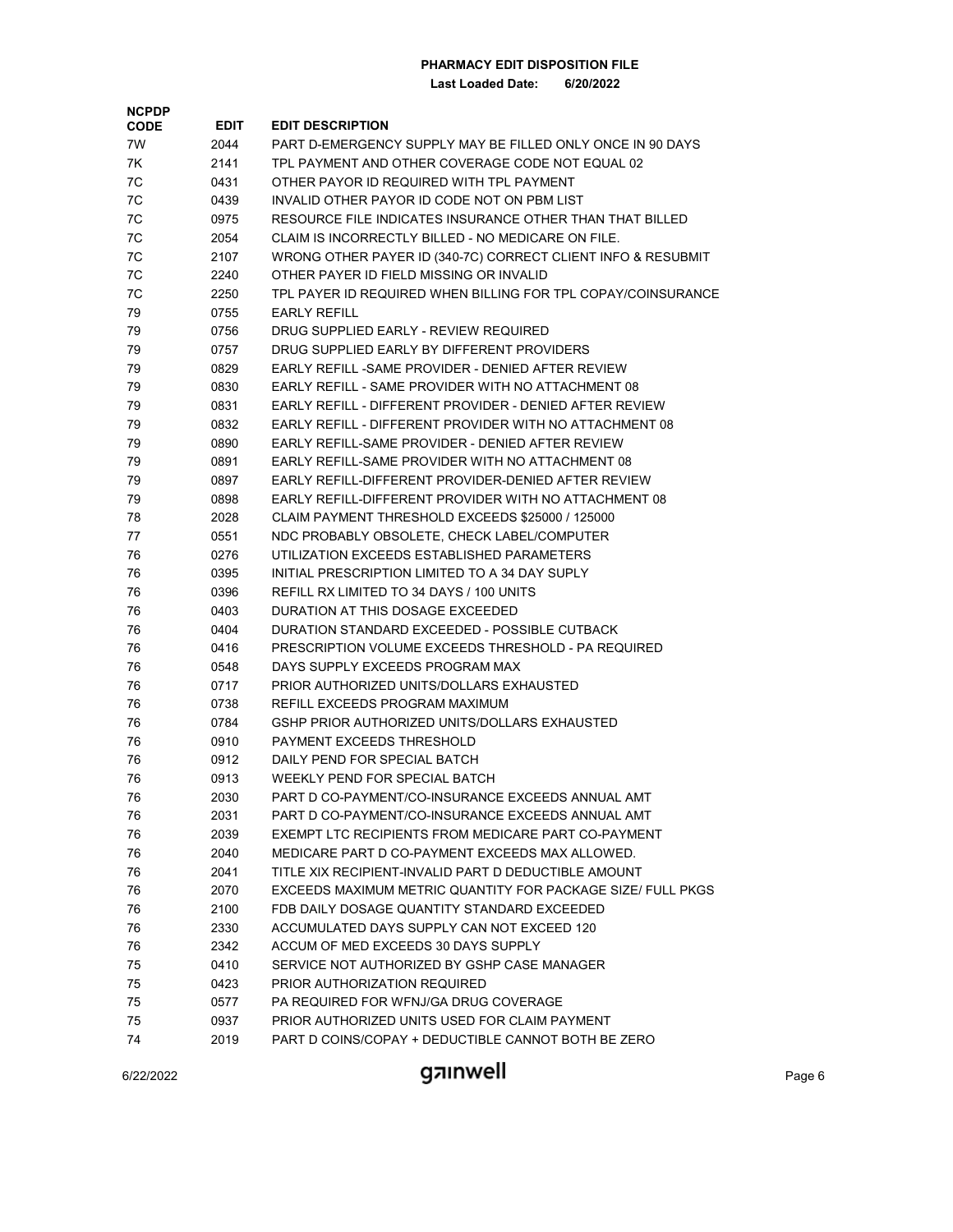| <b>NCPDP</b> |             |                                                              |
|--------------|-------------|--------------------------------------------------------------|
| <b>CODE</b>  | <b>EDIT</b> | <b>EDIT DESCRIPTION</b>                                      |
| 7W           | 2044        | PART D-EMERGENCY SUPPLY MAY BE FILLED ONLY ONCE IN 90 DAYS   |
| 7K           | 2141        | TPL PAYMENT AND OTHER COVERAGE CODE NOT EQUAL 02             |
| 7C           | 0431        | OTHER PAYOR ID REQUIRED WITH TPL PAYMENT                     |
| 7C           | 0439        | INVALID OTHER PAYOR ID CODE NOT ON PBM LIST                  |
| 7C           | 0975        | RESOURCE FILE INDICATES INSURANCE OTHER THAN THAT BILLED     |
| 7C           | 2054        | CLAIM IS INCORRECTLY BILLED - NO MEDICARE ON FILE.           |
| 7C           | 2107        | WRONG OTHER PAYER ID (340-7C) CORRECT CLIENT INFO & RESUBMIT |
| 7C           | 2240        | OTHER PAYER ID FIELD MISSING OR INVALID                      |
| 7C           | 2250        | TPL PAYER ID REQUIRED WHEN BILLING FOR TPL COPAY/COINSURANCE |
| 79           | 0755        | <b>EARLY REFILL</b>                                          |
| 79           | 0756        | DRUG SUPPLIED EARLY - REVIEW REQUIRED                        |
| 79           | 0757        | DRUG SUPPLIED EARLY BY DIFFERENT PROVIDERS                   |
| 79           | 0829        | EARLY REFILL -SAME PROVIDER - DENIED AFTER REVIEW            |
| 79           | 0830        | EARLY REFILL - SAME PROVIDER WITH NO ATTACHMENT 08           |
| 79           | 0831        | EARLY REFILL - DIFFERENT PROVIDER - DENIED AFTER REVIEW      |
| 79           | 0832        | EARLY REFILL - DIFFERENT PROVIDER WITH NO ATTACHMENT 08      |
| 79           | 0890        | EARLY REFILL-SAME PROVIDER - DENIED AFTER REVIEW             |
| 79           | 0891        | EARLY REFILL-SAME PROVIDER WITH NO ATTACHMENT 08             |
| 79           | 0897        | EARLY REFILL-DIFFERENT PROVIDER-DENIED AFTER REVIEW          |
| 79           | 0898        | EARLY REFILL-DIFFERENT PROVIDER WITH NO ATTACHMENT 08        |
| 78           | 2028        | CLAIM PAYMENT THRESHOLD EXCEEDS \$25000 / 125000             |
| 77           | 0551        | NDC PROBABLY OBSOLETE, CHECK LABEL/COMPUTER                  |
| 76           | 0276        | UTILIZATION EXCEEDS ESTABLISHED PARAMETERS                   |
| 76           | 0395        | INITIAL PRESCRIPTION LIMITED TO A 34 DAY SUPLY               |
| 76           | 0396        | REFILL RX LIMITED TO 34 DAYS / 100 UNITS                     |
| 76           | 0403        | DURATION AT THIS DOSAGE EXCEEDED                             |
| 76           | 0404        | DURATION STANDARD EXCEEDED - POSSIBLE CUTBACK                |
| 76           | 0416        | PRESCRIPTION VOLUME EXCEEDS THRESHOLD - PA REQUIRED          |
| 76           | 0548        | DAYS SUPPLY EXCEEDS PROGRAM MAX                              |
| 76           | 0717        | PRIOR AUTHORIZED UNITS/DOLLARS EXHAUSTED                     |
| 76           | 0738        | REFILL EXCEEDS PROGRAM MAXIMUM                               |
| 76           | 0784        | GSHP PRIOR AUTHORIZED UNITS/DOLLARS EXHAUSTED                |
| 76           | 0910        | PAYMENT EXCEEDS THRESHOLD                                    |
| 76           | 0912        | DAILY PEND FOR SPECIAL BATCH                                 |
| 76           | 0913        | WEEKLY PEND FOR SPECIAL BATCH                                |
| 76           | 2030        | PART D CO-PAYMENT/CO-INSURANCE EXCEEDS ANNUAL AMT            |
| 76           | 2031        | PART D CO-PAYMENT/CO-INSURANCE EXCEEDS ANNUAL AMT            |
| 76           | 2039        | EXEMPT LTC RECIPIENTS FROM MEDICARE PART CO-PAYMENT          |
| 76           | 2040        | MEDICARE PART D CO-PAYMENT EXCEEDS MAX ALLOWED.              |
| 76           | 2041        | TITLE XIX RECIPIENT-INVALID PART D DEDUCTIBLE AMOUNT         |
| 76           | 2070        | EXCEEDS MAXIMUM METRIC QUANTITY FOR PACKAGE SIZE/ FULL PKGS  |
| 76           | 2100        | FDB DAILY DOSAGE QUANTITY STANDARD EXCEEDED                  |
| 76           | 2330        | ACCUMULATED DAYS SUPPLY CAN NOT EXCEED 120                   |
|              |             | ACCUM OF MED EXCEEDS 30 DAYS SUPPLY                          |
| 76           | 2342        | SERVICE NOT AUTHORIZED BY GSHP CASE MANAGER                  |
| 75           | 0410        | PRIOR AUTHORIZATION REQUIRED                                 |
| 75           | 0423        | PA REQUIRED FOR WFNJ/GA DRUG COVERAGE                        |
| 75           | 0577        |                                                              |
| 75           | 0937        | PRIOR AUTHORIZED UNITS USED FOR CLAIM PAYMENT                |
| 74           | 2019        | PART D COINS/COPAY + DEDUCTIBLE CANNOT BOTH BE ZERO          |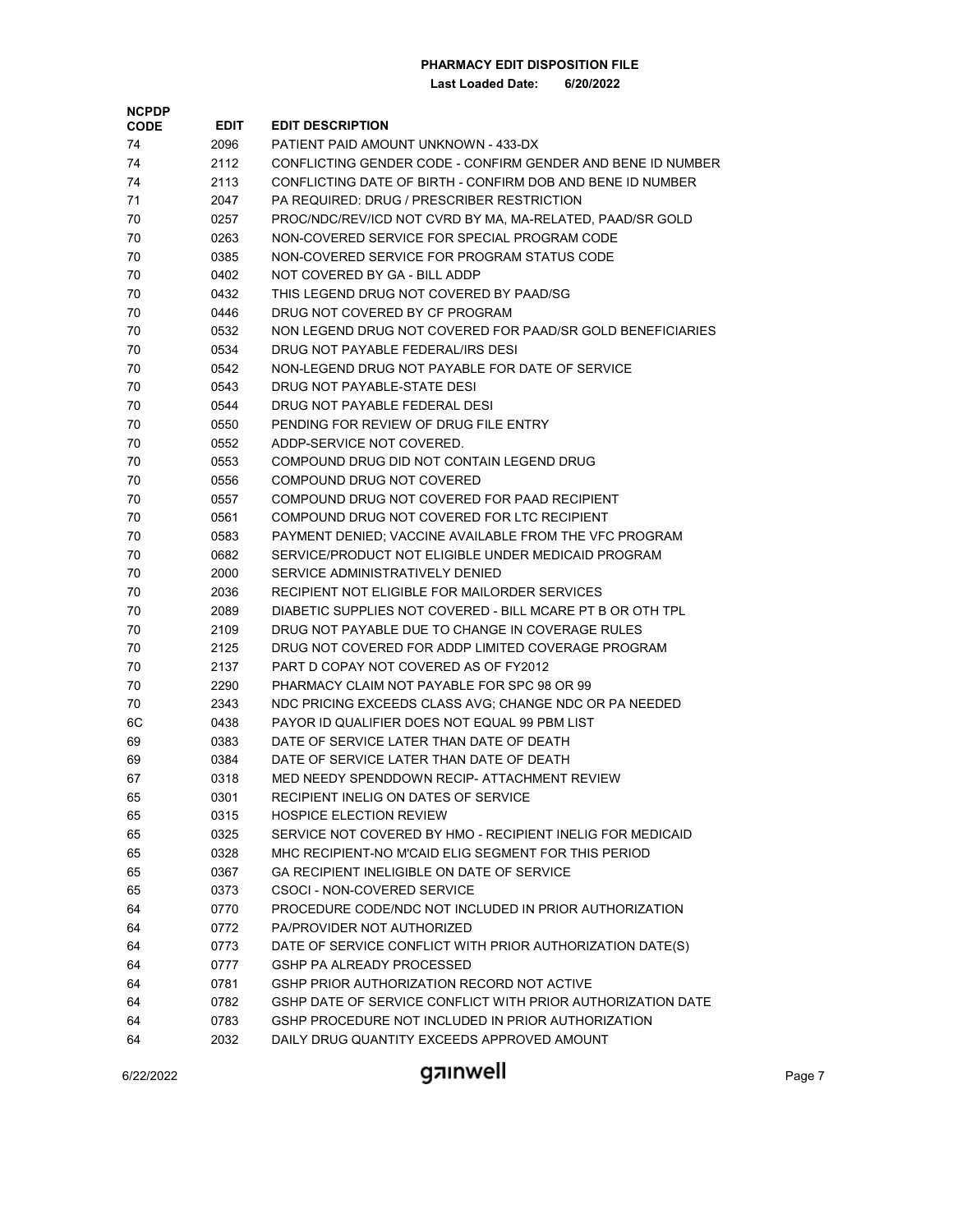**Last Loaded Date: 6/20/2022**

| <b>NCPDP</b><br><b>CODE</b> | <b>EDIT</b> | <b>EDIT DESCRIPTION</b>                                     |
|-----------------------------|-------------|-------------------------------------------------------------|
| 74                          | 2096        | PATIENT PAID AMOUNT UNKNOWN - 433-DX                        |
| 74                          | 2112        | CONFLICTING GENDER CODE - CONFIRM GENDER AND BENE ID NUMBER |
| 74                          | 2113        | CONFLICTING DATE OF BIRTH - CONFIRM DOB AND BENE ID NUMBER  |
| 71                          | 2047        | PA REQUIRED: DRUG / PRESCRIBER RESTRICTION                  |
| 70                          | 0257        | PROC/NDC/REV/ICD NOT CVRD BY MA, MA-RELATED, PAAD/SR GOLD   |
| 70                          | 0263        | NON-COVERED SERVICE FOR SPECIAL PROGRAM CODE                |
|                             |             | NON-COVERED SERVICE FOR PROGRAM STATUS CODE                 |
| 70                          | 0385        |                                                             |
| 70                          | 0402        | NOT COVERED BY GA - BILL ADDP                               |
| 70                          | 0432        | THIS LEGEND DRUG NOT COVERED BY PAAD/SG                     |
| 70                          | 0446        | DRUG NOT COVERED BY CF PROGRAM                              |
| 70                          | 0532        | NON LEGEND DRUG NOT COVERED FOR PAAD/SR GOLD BENEFICIARIES  |
| 70                          | 0534        | DRUG NOT PAYABLE FEDERAL/IRS DESI                           |
| 70                          | 0542        | NON-LEGEND DRUG NOT PAYABLE FOR DATE OF SERVICE             |
| 70                          | 0543        | DRUG NOT PAYABLE-STATE DESI                                 |
| 70                          | 0544        | DRUG NOT PAYABLE FEDERAL DESI                               |
| 70                          | 0550        | PENDING FOR REVIEW OF DRUG FILE ENTRY                       |
| 70                          | 0552        | ADDP-SERVICE NOT COVERED.                                   |
| 70                          | 0553        | COMPOUND DRUG DID NOT CONTAIN LEGEND DRUG                   |
| 70                          | 0556        | COMPOUND DRUG NOT COVERED                                   |
| 70                          | 0557        | COMPOUND DRUG NOT COVERED FOR PAAD RECIPIENT                |
| 70                          | 0561        | COMPOUND DRUG NOT COVERED FOR LTC RECIPIENT                 |
| 70                          | 0583        | PAYMENT DENIED; VACCINE AVAILABLE FROM THE VFC PROGRAM      |
| 70                          | 0682        | SERVICE/PRODUCT NOT ELIGIBLE UNDER MEDICAID PROGRAM         |
| 70                          | 2000        | SERVICE ADMINISTRATIVELY DENIED                             |
| 70                          | 2036        | RECIPIENT NOT ELIGIBLE FOR MAILORDER SERVICES               |
| 70                          | 2089        | DIABETIC SUPPLIES NOT COVERED - BILL MCARE PT B OR OTH TPL  |
| 70                          | 2109        | DRUG NOT PAYABLE DUE TO CHANGE IN COVERAGE RULES            |
| 70                          | 2125        | DRUG NOT COVERED FOR ADDP LIMITED COVERAGE PROGRAM          |
| 70                          | 2137        | PART D COPAY NOT COVERED AS OF FY2012                       |
| 70                          | 2290        | PHARMACY CLAIM NOT PAYABLE FOR SPC 98 OR 99                 |
| 70                          | 2343        | NDC PRICING EXCEEDS CLASS AVG; CHANGE NDC OR PA NEEDED      |
| 6C                          | 0438        | PAYOR ID QUALIFIER DOES NOT EQUAL 99 PBM LIST               |
| 69                          | 0383        | DATE OF SERVICE LATER THAN DATE OF DEATH                    |
| 69                          | 0384        | DATE OF SERVICE LATER THAN DATE OF DEATH                    |
| 67                          | 0318        | MED NEEDY SPENDDOWN RECIP- ATTACHMENT REVIEW                |
| 65                          | 0301        | RECIPIENT INELIG ON DATES OF SERVICE                        |
| 65                          | 0315        | <b>HOSPICE ELECTION REVIEW</b>                              |
| 65                          | 0325        | SERVICE NOT COVERED BY HMO - RECIPIENT INELIG FOR MEDICAID  |
| 65                          | 0328        | MHC RECIPIENT-NO M'CAID ELIG SEGMENT FOR THIS PERIOD        |
| 65                          | 0367        | GA RECIPIENT INELIGIBLE ON DATE OF SERVICE                  |
| 65                          | 0373        | CSOCI - NON-COVERED SERVICE                                 |
| 64                          | 0770        | PROCEDURE CODE/NDC NOT INCLUDED IN PRIOR AUTHORIZATION      |
| 64                          | 0772        | PA/PROVIDER NOT AUTHORIZED                                  |
| 64                          | 0773        | DATE OF SERVICE CONFLICT WITH PRIOR AUTHORIZATION DATE(S)   |
| 64                          | 0777        | GSHP PA ALREADY PROCESSED                                   |
| 64                          | 0781        | <b>GSHP PRIOR AUTHORIZATION RECORD NOT ACTIVE</b>           |
| 64                          | 0782        | GSHP DATE OF SERVICE CONFLICT WITH PRIOR AUTHORIZATION DATE |
| 64                          | 0783        | GSHP PROCEDURE NOT INCLUDED IN PRIOR AUTHORIZATION          |
| 64                          | 2032        | DAILY DRUG QUANTITY EXCEEDS APPROVED AMOUNT                 |
|                             |             |                                                             |

6/22/2022 **CONTROLL CONTROLL CONTROLL CONTROLL Page 7**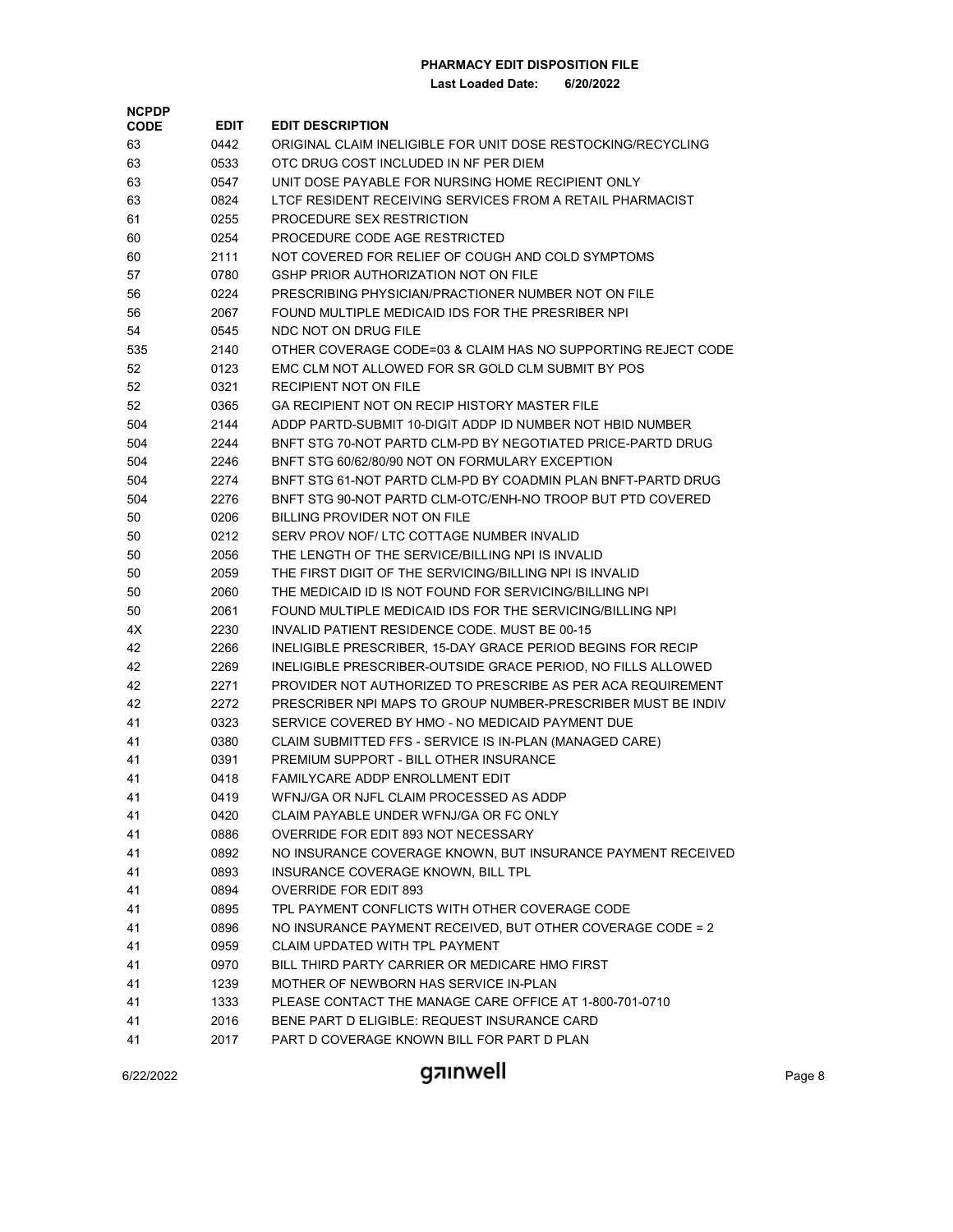| <b>NCPDP</b> |             |                                                              |
|--------------|-------------|--------------------------------------------------------------|
| <b>CODE</b>  | <b>EDIT</b> | <b>EDIT DESCRIPTION</b>                                      |
| 63           | 0442        | ORIGINAL CLAIM INELIGIBLE FOR UNIT DOSE RESTOCKING/RECYCLING |
| 63           | 0533        | OTC DRUG COST INCLUDED IN NF PER DIEM                        |
| 63           | 0547        | UNIT DOSE PAYABLE FOR NURSING HOME RECIPIENT ONLY            |
| 63           | 0824        | LTCF RESIDENT RECEIVING SERVICES FROM A RETAIL PHARMACIST    |
| 61           | 0255        | PROCEDURE SEX RESTRICTION                                    |
| 60           | 0254        | PROCEDURE CODE AGE RESTRICTED                                |
| 60           | 2111        | NOT COVERED FOR RELIEF OF COUGH AND COLD SYMPTOMS            |
| 57           | 0780        | GSHP PRIOR AUTHORIZATION NOT ON FILE                         |
| 56           | 0224        | PRESCRIBING PHYSICIAN/PRACTIONER NUMBER NOT ON FILE          |
| 56           | 2067        | FOUND MULTIPLE MEDICAID IDS FOR THE PRESRIBER NPI            |
| 54           | 0545        | NDC NOT ON DRUG FILE                                         |
| 535          | 2140        | OTHER COVERAGE CODE=03 & CLAIM HAS NO SUPPORTING REJECT CODE |
| 52           | 0123        | EMC CLM NOT ALLOWED FOR SR GOLD CLM SUBMIT BY POS            |
| 52           | 0321        | RECIPIENT NOT ON FILE                                        |
| 52           | 0365        | GA RECIPIENT NOT ON RECIP HISTORY MASTER FILE                |
| 504          | 2144        | ADDP PARTD-SUBMIT 10-DIGIT ADDP ID NUMBER NOT HBID NUMBER    |
| 504          | 2244        | BNFT STG 70-NOT PARTD CLM-PD BY NEGOTIATED PRICE-PARTD DRUG  |
| 504          | 2246        | BNFT STG 60/62/80/90 NOT ON FORMULARY EXCEPTION              |
| 504          | 2274        | BNFT STG 61-NOT PARTD CLM-PD BY COADMIN PLAN BNFT-PARTD DRUG |
| 504          | 2276        | BNFT STG 90-NOT PARTD CLM-OTC/ENH-NO TROOP BUT PTD COVERED   |
| 50           | 0206        | BILLING PROVIDER NOT ON FILE                                 |
| 50           | 0212        | SERV PROV NOF/LTC COTTAGE NUMBER INVALID                     |
| 50           | 2056        | THE LENGTH OF THE SERVICE/BILLING NPI IS INVALID             |
| 50           | 2059        | THE FIRST DIGIT OF THE SERVICING/BILLING NPI IS INVALID      |
| 50           | 2060        | THE MEDICAID ID IS NOT FOUND FOR SERVICING/BILLING NPI       |
| 50           | 2061        | FOUND MULTIPLE MEDICAID IDS FOR THE SERVICING/BILLING NPI    |
| 4X           | 2230        | INVALID PATIENT RESIDENCE CODE. MUST BE 00-15                |
| 42           | 2266        | INELIGIBLE PRESCRIBER, 15-DAY GRACE PERIOD BEGINS FOR RECIP  |
| 42           | 2269        | INELIGIBLE PRESCRIBER-OUTSIDE GRACE PERIOD, NO FILLS ALLOWED |
| 42           | 2271        | PROVIDER NOT AUTHORIZED TO PRESCRIBE AS PER ACA REQUIREMENT  |
| 42           | 2272        | PRESCRIBER NPI MAPS TO GROUP NUMBER-PRESCRIBER MUST BE INDIV |
| 41           | 0323        | SERVICE COVERED BY HMO - NO MEDICAID PAYMENT DUE             |
| 41           | 0380        | CLAIM SUBMITTED FFS - SERVICE IS IN-PLAN (MANAGED CARE)      |
| 41           | 0391        | PREMIUM SUPPORT - BILL OTHER INSURANCE                       |
| 41           | 0418        | FAMILYCARE ADDP ENROLLMENT EDIT                              |
| 41           | 0419        | WENJ/GA OR NJFL CLAIM PROCESSED AS ADDP                      |
| 41           | 0420        | CLAIM PAYABLE UNDER WFNJ/GA OR FC ONLY                       |
| 41           | 0886        | OVERRIDE FOR EDIT 893 NOT NECESSARY                          |
| 41           | 0892        | NO INSURANCE COVERAGE KNOWN, BUT INSURANCE PAYMENT RECEIVED  |
| 41           | 0893        | INSURANCE COVERAGE KNOWN, BILL TPL                           |
| 41           | 0894        | <b>OVERRIDE FOR EDIT 893</b>                                 |
| 41           | 0895        | TPL PAYMENT CONFLICTS WITH OTHER COVERAGE CODE               |
| 41           | 0896        | NO INSURANCE PAYMENT RECEIVED, BUT OTHER COVERAGE CODE = 2   |
| 41           | 0959        | CLAIM UPDATED WITH TPL PAYMENT                               |
| 41           | 0970        | BILL THIRD PARTY CARRIER OR MEDICARE HMO FIRST               |
| 41           | 1239        | MOTHER OF NEWBORN HAS SERVICE IN-PLAN                        |
| 41           | 1333        | PLEASE CONTACT THE MANAGE CARE OFFICE AT 1-800-701-0710      |
| 41           | 2016        | BENE PART D ELIGIBLE: REQUEST INSURANCE CARD                 |
| 41           | 2017        | PART D COVERAGE KNOWN BILL FOR PART D PLAN                   |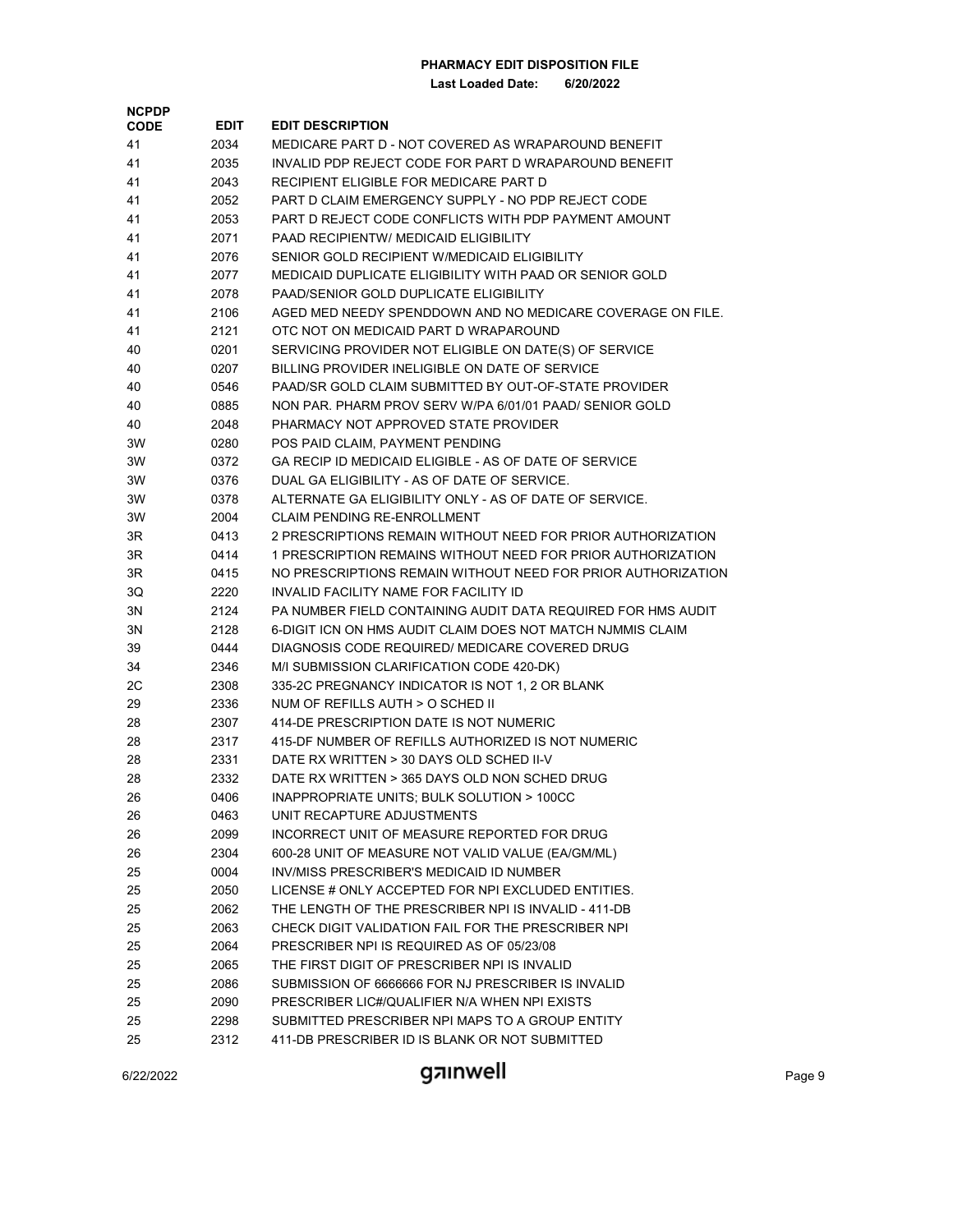| <b>NCPDP</b> |             |                                                              |
|--------------|-------------|--------------------------------------------------------------|
| <b>CODE</b>  | <b>EDIT</b> | <b>EDIT DESCRIPTION</b>                                      |
| 41           | 2034        | MEDICARE PART D - NOT COVERED AS WRAPAROUND BENEFIT          |
| 41           | 2035        | INVALID PDP REJECT CODE FOR PART D WRAPAROUND BENEFIT        |
| 41           | 2043        | RECIPIENT ELIGIBLE FOR MEDICARE PART D                       |
| 41           | 2052        | PART D CLAIM EMERGENCY SUPPLY - NO PDP REJECT CODE           |
| 41           | 2053        | PART D REJECT CODE CONFLICTS WITH PDP PAYMENT AMOUNT         |
| 41           | 2071        | <b>PAAD RECIPIENTW/ MEDICAID ELIGIBILITY</b>                 |
| 41           | 2076        | SENIOR GOLD RECIPIENT W/MEDICAID ELIGIBILITY                 |
| 41           | 2077        | MEDICAID DUPLICATE ELIGIBILITY WITH PAAD OR SENIOR GOLD      |
| 41           | 2078        | PAAD/SENIOR GOLD DUPLICATE ELIGIBILITY                       |
| 41           | 2106        | AGED MED NEEDY SPENDDOWN AND NO MEDICARE COVERAGE ON FILE.   |
| 41           | 2121        | OTC NOT ON MEDICAID PART D WRAPAROUND                        |
| 40           | 0201        | SERVICING PROVIDER NOT ELIGIBLE ON DATE(S) OF SERVICE        |
| 40           | 0207        | BILLING PROVIDER INELIGIBLE ON DATE OF SERVICE               |
| 40           | 0546        | PAAD/SR GOLD CLAIM SUBMITTED BY OUT-OF-STATE PROVIDER        |
| 40           | 0885        | NON PAR. PHARM PROV SERV W/PA 6/01/01 PAAD/ SENIOR GOLD      |
| 40           | 2048        | PHARMACY NOT APPROVED STATE PROVIDER                         |
| 3W           | 0280        | POS PAID CLAIM, PAYMENT PENDING                              |
| 3W           | 0372        | GA RECIP ID MEDICAID ELIGIBLE - AS OF DATE OF SERVICE        |
| 3W           | 0376        | DUAL GA ELIGIBILITY - AS OF DATE OF SERVICE.                 |
| 3W           | 0378        | ALTERNATE GA ELIGIBILITY ONLY - AS OF DATE OF SERVICE.       |
| 3W           | 2004        | <b>CLAIM PENDING RE-ENROLLMENT</b>                           |
| 3R           | 0413        | 2 PRESCRIPTIONS REMAIN WITHOUT NEED FOR PRIOR AUTHORIZATION  |
| 3R           | 0414        | 1 PRESCRIPTION REMAINS WITHOUT NEED FOR PRIOR AUTHORIZATION  |
| 3R           | 0415        | NO PRESCRIPTIONS REMAIN WITHOUT NEED FOR PRIOR AUTHORIZATION |
| 3Q           | 2220        | INVALID FACILITY NAME FOR FACILITY ID                        |
| 3N           | 2124        | PA NUMBER FIELD CONTAINING AUDIT DATA REQUIRED FOR HMS AUDIT |
| 3N           | 2128        | 6-DIGIT ICN ON HMS AUDIT CLAIM DOES NOT MATCH NJMMIS CLAIM   |
| 39           | 0444        | DIAGNOSIS CODE REQUIRED/ MEDICARE COVERED DRUG               |
| 34           | 2346        | M/I SUBMISSION CLARIFICATION CODE 420-DK)                    |
| 2C           | 2308        | 335-2C PREGNANCY INDICATOR IS NOT 1, 2 OR BLANK              |
| 29           | 2336        | NUM OF REFILLS AUTH > O SCHED II                             |
| 28           | 2307        | 414-DE PRESCRIPTION DATE IS NOT NUMERIC                      |
| 28           | 2317        | 415-DF NUMBER OF REFILLS AUTHORIZED IS NOT NUMERIC           |
| 28           | 2331        | DATE RX WRITTEN > 30 DAYS OLD SCHED II-V                     |
| 28           | 2332        | DATE RX WRITTEN > 365 DAYS OLD NON SCHED DRUG                |
| 26           | 0406        | INAPPROPRIATE UNITS; BULK SOLUTION > 100CC                   |
| 26           | 0463        | UNIT RECAPTURE ADJUSTMENTS                                   |
| 26           | 2099        | INCORRECT UNIT OF MEASURE REPORTED FOR DRUG                  |
| 26           | 2304        | 600-28 UNIT OF MEASURE NOT VALID VALUE (EA/GM/ML)            |
| 25           | 0004        | INV/MISS PRESCRIBER'S MEDICAID ID NUMBER                     |
| 25           | 2050        | LICENSE # ONLY ACCEPTED FOR NPI EXCLUDED ENTITIES.           |
| 25           | 2062        | THE LENGTH OF THE PRESCRIBER NPI IS INVALID - 411-DB         |
| 25           | 2063        | CHECK DIGIT VALIDATION FAIL FOR THE PRESCRIBER NPI           |
| 25           | 2064        | PRESCRIBER NPI IS REQUIRED AS OF 05/23/08                    |
| 25           | 2065        | THE FIRST DIGIT OF PRESCRIBER NPI IS INVALID                 |
| 25           | 2086        | SUBMISSION OF 6666666 FOR NJ PRESCRIBER IS INVALID           |
| 25           | 2090        | PRESCRIBER LIC#/QUALIFIER N/A WHEN NPI EXISTS                |
| 25           | 2298        | SUBMITTED PRESCRIBER NPI MAPS TO A GROUP ENTITY              |
| 25           | 2312        | 411-DB PRESCRIBER ID IS BLANK OR NOT SUBMITTED               |
|              |             |                                                              |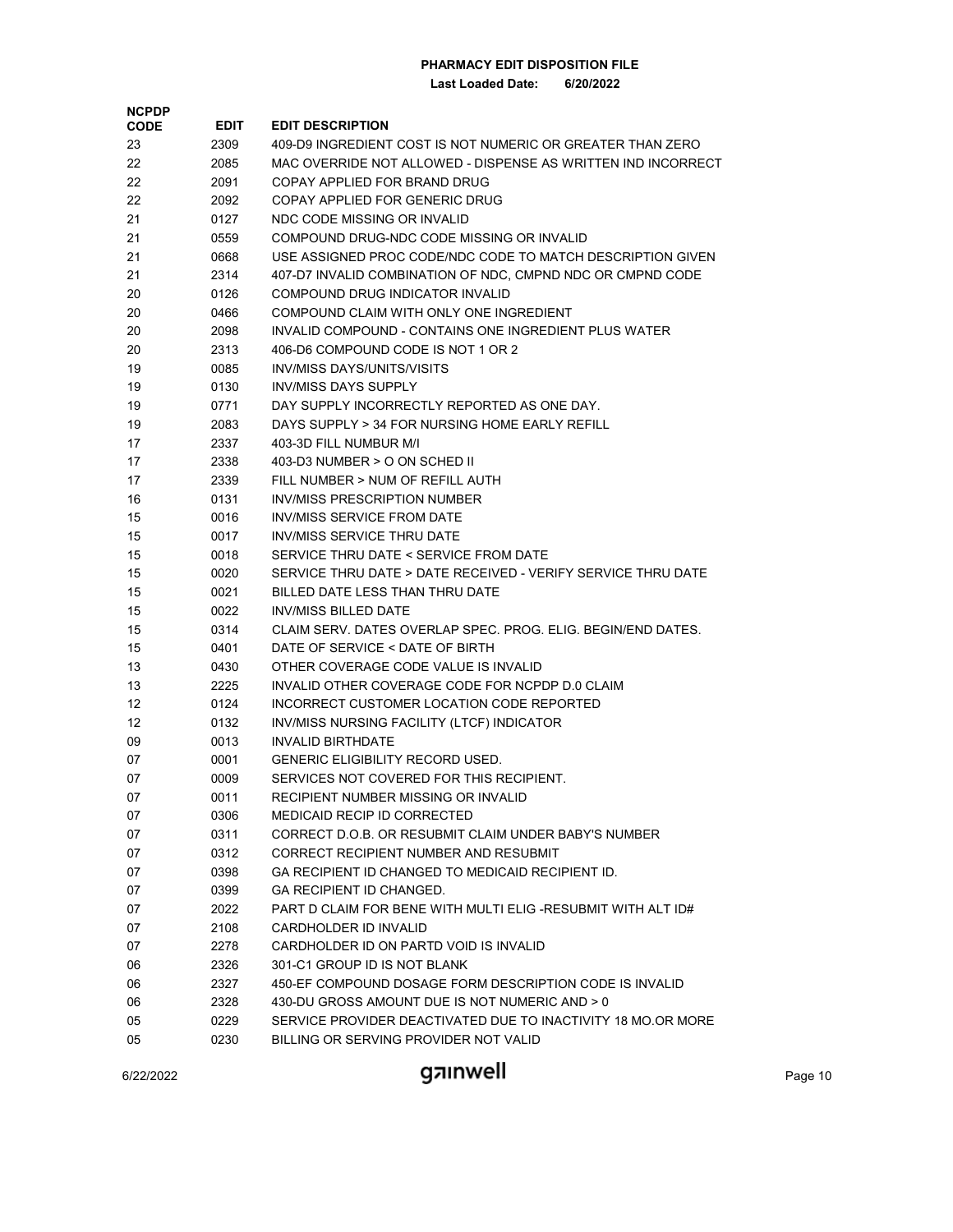**Last Loaded Date: 6/20/2022**

| <b>NCPDP</b> |      |                                                              |
|--------------|------|--------------------------------------------------------------|
| <b>CODE</b>  | EDIT | <b>EDIT DESCRIPTION</b>                                      |
| 23           | 2309 | 409-D9 INGREDIENT COST IS NOT NUMERIC OR GREATER THAN ZERO   |
| 22           | 2085 | MAC OVERRIDE NOT ALLOWED - DISPENSE AS WRITTEN IND INCORRECT |
| 22           | 2091 | COPAY APPLIED FOR BRAND DRUG                                 |
| 22           | 2092 | COPAY APPLIED FOR GENERIC DRUG                               |
| 21           | 0127 | NDC CODE MISSING OR INVALID                                  |
| 21           | 0559 | COMPOUND DRUG-NDC CODE MISSING OR INVALID                    |
| 21           | 0668 | USE ASSIGNED PROC CODE/NDC CODE TO MATCH DESCRIPTION GIVEN   |
| 21           | 2314 | 407-D7 INVALID COMBINATION OF NDC, CMPND NDC OR CMPND CODE   |
| 20           | 0126 | COMPOUND DRUG INDICATOR INVALID                              |
| 20           | 0466 | COMPOUND CLAIM WITH ONLY ONE INGREDIENT                      |
| 20           | 2098 | <b>INVALID COMPOUND - CONTAINS ONE INGREDIENT PLUS WATER</b> |
| 20           | 2313 | 406-D6 COMPOUND CODE IS NOT 1 OR 2                           |
| 19           | 0085 | <b>INV/MISS DAYS/UNITS/VISITS</b>                            |
| 19           | 0130 | INV/MISS DAYS SUPPLY                                         |
| 19           | 0771 | DAY SUPPLY INCORRECTLY REPORTED AS ONE DAY.                  |
| 19           | 2083 | DAYS SUPPLY > 34 FOR NURSING HOME EARLY REFILL               |
| 17           | 2337 | 403-3D FILL NUMBUR M/I                                       |
| 17           | 2338 | 403-D3 NUMBER > O ON SCHED II                                |
| 17           | 2339 | FILL NUMBER > NUM OF REFILL AUTH                             |
| 16           | 0131 | <b>INV/MISS PRESCRIPTION NUMBER</b>                          |
| 15           | 0016 | INV/MISS SERVICE FROM DATE                                   |
| 15           | 0017 | INV/MISS SERVICE THRU DATE                                   |
| 15           | 0018 | SERVICE THRU DATE < SERVICE FROM DATE                        |
| 15           | 0020 | SERVICE THRU DATE > DATE RECEIVED - VERIFY SERVICE THRU DATE |
| 15           | 0021 | BILLED DATE LESS THAN THRU DATE                              |
| 15           | 0022 | <b>INV/MISS BILLED DATE</b>                                  |
| 15           | 0314 | CLAIM SERV. DATES OVERLAP SPEC. PROG. ELIG. BEGIN/END DATES. |
| 15           | 0401 | DATE OF SERVICE < DATE OF BIRTH                              |
| 13           | 0430 | OTHER COVERAGE CODE VALUE IS INVALID                         |
| 13           | 2225 | INVALID OTHER COVERAGE CODE FOR NCPDP D.0 CLAIM              |
| 12           | 0124 | INCORRECT CUSTOMER LOCATION CODE REPORTED                    |
| 12           | 0132 | INV/MISS NURSING FACILITY (LTCF) INDICATOR                   |
| 09           | 0013 | <b>INVALID BIRTHDATE</b>                                     |
| 07           | 0001 | <b>GENERIC ELIGIBILITY RECORD USED.</b>                      |
| 07           | 0009 | SERVICES NOT COVERED FOR THIS RECIPIENT.                     |
| 07           | 0011 | RECIPIENT NUMBER MISSING OR INVALID                          |
| 07           | 0306 | <b>MEDICAID RECIP ID CORRECTED</b>                           |
| 07           | 0311 | CORRECT D.O.B. OR RESUBMIT CLAIM UNDER BABY'S NUMBER         |
| 07           | 0312 | CORRECT RECIPIENT NUMBER AND RESUBMIT                        |
| 07           | 0398 | GA RECIPIENT ID CHANGED TO MEDICAID RECIPIENT ID.            |
| 07           | 0399 | GA RECIPIENT ID CHANGED.                                     |
| 07           | 2022 | PART D CLAIM FOR BENE WITH MULTI ELIG -RESUBMIT WITH ALT ID# |
| 07           | 2108 | CARDHOLDER ID INVALID                                        |
| 07           | 2278 | CARDHOLDER ID ON PARTD VOID IS INVALID                       |
| 06           | 2326 | 301-C1 GROUP ID IS NOT BLANK                                 |
| 06           | 2327 | 450-EF COMPOUND DOSAGE FORM DESCRIPTION CODE IS INVALID      |
| 06           | 2328 | 430-DU GROSS AMOUNT DUE IS NOT NUMERIC AND > 0               |
| 05           | 0229 | SERVICE PROVIDER DEACTIVATED DUE TO INACTIVITY 18 MO.OR MORE |
| $\cap$       | noon | BILLING OD SEDVING BROVIDER NOT VALID                        |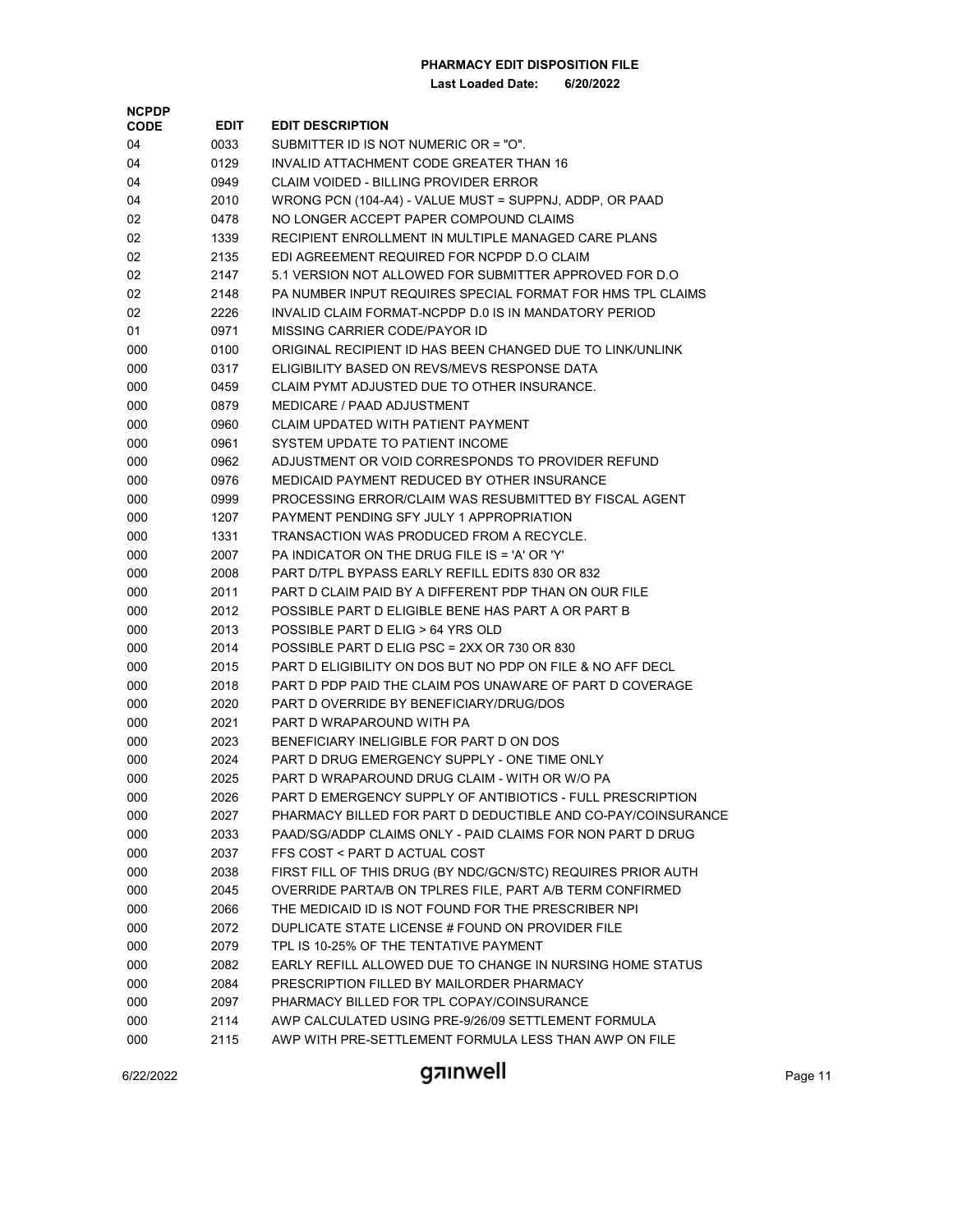**Last Loaded Date: 6/20/2022**

| <b>NCPDP</b><br><b>CODE</b> | <b>EDIT</b> | <b>EDIT DESCRIPTION</b>                                      |
|-----------------------------|-------------|--------------------------------------------------------------|
| 04                          | 0033        | SUBMITTER ID IS NOT NUMERIC OR = "O".                        |
| 04                          | 0129        | INVALID ATTACHMENT CODE GREATER THAN 16                      |
| 04                          | 0949        | CLAIM VOIDED - BILLING PROVIDER ERROR                        |
| 04                          | 2010        | WRONG PCN (104-A4) - VALUE MUST = SUPPNJ, ADDP, OR PAAD      |
| 02                          | 0478        | NO LONGER ACCEPT PAPER COMPOUND CLAIMS                       |
| 02                          | 1339        | RECIPIENT ENROLLMENT IN MULTIPLE MANAGED CARE PLANS          |
| 02                          | 2135        | EDI AGREEMENT REQUIRED FOR NCPDP D.O CLAIM                   |
| 02                          |             | 5.1 VERSION NOT ALLOWED FOR SUBMITTER APPROVED FOR D.O.      |
|                             | 2147        |                                                              |
| 02                          | 2148        | PA NUMBER INPUT REQUIRES SPECIAL FORMAT FOR HMS TPL CLAIMS   |
| 02                          | 2226        | INVALID CLAIM FORMAT-NCPDP D.0 IS IN MANDATORY PERIOD        |
| 01                          | 0971        | MISSING CARRIER CODE/PAYOR ID                                |
| 000                         | 0100        | ORIGINAL RECIPIENT ID HAS BEEN CHANGED DUE TO LINK/UNLINK    |
| 000                         | 0317        | ELIGIBILITY BASED ON REVS/MEVS RESPONSE DATA                 |
| 000                         | 0459        | CLAIM PYMT ADJUSTED DUE TO OTHER INSURANCE.                  |
| 000                         | 0879        | MEDICARE / PAAD ADJUSTMENT                                   |
| 000                         | 0960        | CLAIM UPDATED WITH PATIENT PAYMENT                           |
| 000                         | 0961        | SYSTEM UPDATE TO PATIENT INCOME                              |
| 000                         | 0962        | ADJUSTMENT OR VOID CORRESPONDS TO PROVIDER REFUND            |
| 000                         | 0976        | MEDICAID PAYMENT REDUCED BY OTHER INSURANCE                  |
| 000                         | 0999        | PROCESSING ERROR/CLAIM WAS RESUBMITTED BY FISCAL AGENT       |
| 000                         | 1207        | PAYMENT PENDING SFY JULY 1 APPROPRIATION                     |
| 000                         | 1331        | TRANSACTION WAS PRODUCED FROM A RECYCLE.                     |
| 000                         | 2007        | PA INDICATOR ON THE DRUG FILE IS = 'A' OR 'Y'                |
| 000                         | 2008        | PART D/TPL BYPASS EARLY REFILL EDITS 830 OR 832              |
| 000                         | 2011        | PART D CLAIM PAID BY A DIFFERENT PDP THAN ON OUR FILE        |
| 000                         | 2012        | POSSIBLE PART D ELIGIBLE BENE HAS PART A OR PART B           |
| 000                         | 2013        | POSSIBLE PART D ELIG > 64 YRS OLD                            |
| 000                         | 2014        | POSSIBLE PART D ELIG PSC = 2XX OR 730 OR 830                 |
| 000                         | 2015        | PART D ELIGIBILITY ON DOS BUT NO PDP ON FILE & NO AFF DECL   |
| 000                         | 2018        | PART D PDP PAID THE CLAIM POS UNAWARE OF PART D COVERAGE     |
| 000                         | 2020        | PART D OVERRIDE BY BENEFICIARY/DRUG/DOS                      |
| 000                         | 2021        | PART D WRAPAROUND WITH PA                                    |
| 000                         | 2023        | BENEFICIARY INELIGIBLE FOR PART D ON DOS                     |
| 000                         | 2024        | PART D DRUG EMERGENCY SUPPLY - ONE TIME ONLY                 |
| 000                         | 2025        | PART D WRAPAROUND DRUG CLAIM - WITH OR W/O PA                |
| 000                         | 2026        | PART D EMERGENCY SUPPLY OF ANTIBIOTICS - FULL PRESCRIPTION   |
| 000                         | 2027        | PHARMACY BILLED FOR PART D DEDUCTIBLE AND CO-PAY/COINSURANCE |
| 000                         | 2033        | PAAD/SG/ADDP CLAIMS ONLY - PAID CLAIMS FOR NON PART D DRUG   |
| 000                         | 2037        | FFS COST < PART D ACTUAL COST                                |
| 000                         | 2038        | FIRST FILL OF THIS DRUG (BY NDC/GCN/STC) REQUIRES PRIOR AUTH |
| 000                         | 2045        | OVERRIDE PARTA/B ON TPLRES FILE, PART A/B TERM CONFIRMED     |
| 000                         | 2066        | THE MEDICAID ID IS NOT FOUND FOR THE PRESCRIBER NPI          |
| 000                         | 2072        | DUPLICATE STATE LICENSE # FOUND ON PROVIDER FILE             |
| 000                         | 2079        | TPL IS 10-25% OF THE TENTATIVE PAYMENT                       |
| 000                         | 2082        | EARLY REFILL ALLOWED DUE TO CHANGE IN NURSING HOME STATUS    |
| 000                         | 2084        | PRESCRIPTION FILLED BY MAILORDER PHARMACY                    |
| 000                         | 2097        | PHARMACY BILLED FOR TPL COPAY/COINSURANCE                    |
| 000                         | 2114        | AWP CALCULATED USING PRE-9/26/09 SETTLEMENT FORMULA          |
| 000                         | 2115        | AWP WITH PRE-SETTLEMENT FORMULA LESS THAN AWP ON FILE        |
|                             |             |                                                              |

**6/22/2022** Page 11 **CONTROLL CONTROLL CONTROLL Page 11** Page 11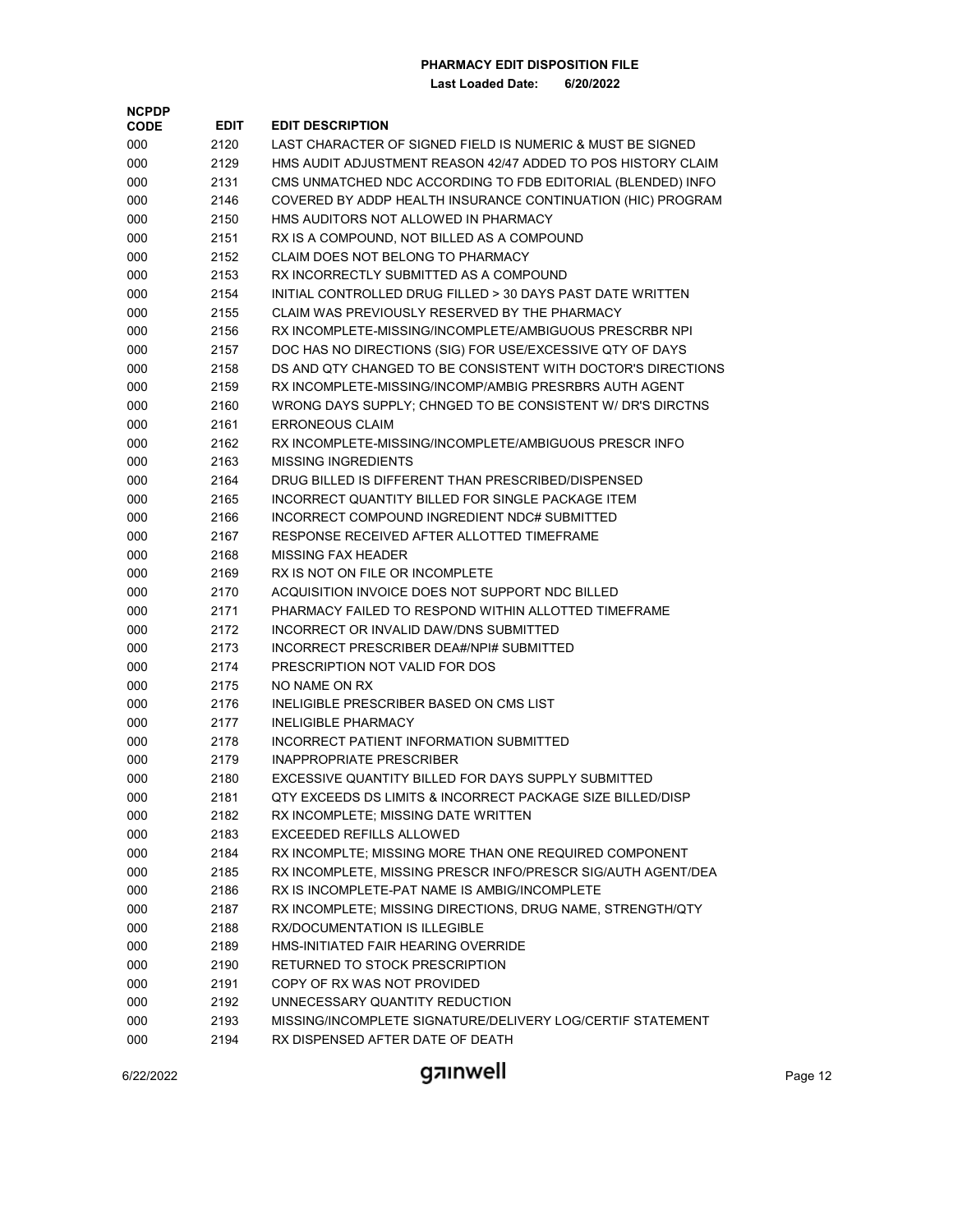**Last Loaded Date: 6/20/2022**

| <b>NCPDP</b> |             |                                                              |
|--------------|-------------|--------------------------------------------------------------|
| <b>CODE</b>  | <b>EDIT</b> | <b>EDIT DESCRIPTION</b>                                      |
| 000          | 2120        | LAST CHARACTER OF SIGNED FIELD IS NUMERIC & MUST BE SIGNED   |
| 000          | 2129        | HMS AUDIT ADJUSTMENT REASON 42/47 ADDED TO POS HISTORY CLAIM |
| 000          | 2131        | CMS UNMATCHED NDC ACCORDING TO FDB EDITORIAL (BLENDED) INFO  |
| 000          | 2146        | COVERED BY ADDP HEALTH INSURANCE CONTINUATION (HIC) PROGRAM  |
| 000          | 2150        | HMS AUDITORS NOT ALLOWED IN PHARMACY                         |
| 000          | 2151        | RX IS A COMPOUND, NOT BILLED AS A COMPOUND                   |
| 000          | 2152        | CLAIM DOES NOT BELONG TO PHARMACY                            |
| 000          | 2153        | RX INCORRECTLY SUBMITTED AS A COMPOUND                       |
| 000          | 2154        | INITIAL CONTROLLED DRUG FILLED > 30 DAYS PAST DATE WRITTEN   |
| 000          | 2155        | CLAIM WAS PREVIOUSLY RESERVED BY THE PHARMACY                |
| 000          | 2156        | RX INCOMPLETE-MISSING/INCOMPLETE/AMBIGUOUS PRESCRBR NPI      |
| 000          | 2157        | DOC HAS NO DIRECTIONS (SIG) FOR USE/EXCESSIVE QTY OF DAYS    |
| 000          | 2158        | DS AND QTY CHANGED TO BE CONSISTENT WITH DOCTOR'S DIRECTIONS |
| 000          | 2159        | RX INCOMPLETE-MISSING/INCOMP/AMBIG PRESRBRS AUTH AGENT       |
| 000          | 2160        | WRONG DAYS SUPPLY; CHNGED TO BE CONSISTENT W/ DR'S DIRCTNS   |
| 000          | 2161        | <b>ERRONEOUS CLAIM</b>                                       |
| 000          | 2162        | RX INCOMPLETE-MISSING/INCOMPLETE/AMBIGUOUS PRESCR INFO       |
| 000          | 2163        | <b>MISSING INGREDIENTS</b>                                   |
| 000          | 2164        | DRUG BILLED IS DIFFERENT THAN PRESCRIBED/DISPENSED           |
| 000          | 2165        | INCORRECT QUANTITY BILLED FOR SINGLE PACKAGE ITEM            |
| 000          | 2166        | INCORRECT COMPOUND INGREDIENT NDC# SUBMITTED                 |
| 000          | 2167        | RESPONSE RECEIVED AFTER ALLOTTED TIMEFRAME                   |
| 000          | 2168        | <b>MISSING FAX HEADER</b>                                    |
| 000          | 2169        | RX IS NOT ON FILE OR INCOMPLETE                              |
| 000          | 2170        | ACQUISITION INVOICE DOES NOT SUPPORT NDC BILLED              |
| 000          | 2171        | PHARMACY FAILED TO RESPOND WITHIN ALLOTTED TIMEFRAME         |
| 000          | 2172        | INCORRECT OR INVALID DAW/DNS SUBMITTED                       |
| 000          | 2173        | INCORRECT PRESCRIBER DEA#/NPI# SUBMITTED                     |
| 000          | 2174        | PRESCRIPTION NOT VALID FOR DOS                               |
| 000          | 2175        | NO NAME ON RX                                                |
| 000          | 2176        | INELIGIBLE PRESCRIBER BASED ON CMS LIST                      |
| 000          | 2177        | <b>INELIGIBLE PHARMACY</b>                                   |
| 000          | 2178        | INCORRECT PATIENT INFORMATION SUBMITTED                      |
| 000          | 2179        | <b>INAPPROPRIATE PRESCRIBER</b>                              |
| 000          | 2180        | EXCESSIVE QUANTITY BILLED FOR DAYS SUPPLY SUBMITTED          |
| 000          | 2181        | QTY EXCEEDS DS LIMITS & INCORRECT PACKAGE SIZE BILLED/DISP   |
| 000          | 2182        | RX INCOMPLETE; MISSING DATE WRITTEN                          |
| 000          | 2183        | EXCEEDED REFILLS ALLOWED                                     |
| 000          | 2184        | RX INCOMPLTE; MISSING MORE THAN ONE REQUIRED COMPONENT       |
| 000          | 2185        | RX INCOMPLETE, MISSING PRESCR INFO/PRESCR SIG/AUTH AGENT/DEA |
| 000          | 2186        | RX IS INCOMPLETE-PAT NAME IS AMBIG/INCOMPLETE                |
| 000          | 2187        | RX INCOMPLETE; MISSING DIRECTIONS, DRUG NAME, STRENGTH/QTY   |
| 000          | 2188        | <b>RX/DOCUMENTATION IS ILLEGIBLE</b>                         |
| 000          | 2189        | HMS-INITIATED FAIR HEARING OVERRIDE                          |
| 000          | 2190        | RETURNED TO STOCK PRESCRIPTION                               |
| 000          | 2191        | COPY OF RX WAS NOT PROVIDED                                  |
| 000          | 2192        | UNNECESSARY QUANTITY REDUCTION                               |
| 000          | 2193        | MISSING/INCOMPLETE SIGNATURE/DELIVERY LOG/CERTIF STATEMENT   |
| 000          | 2194        | RX DISPENSED AFTER DATE OF DEATH                             |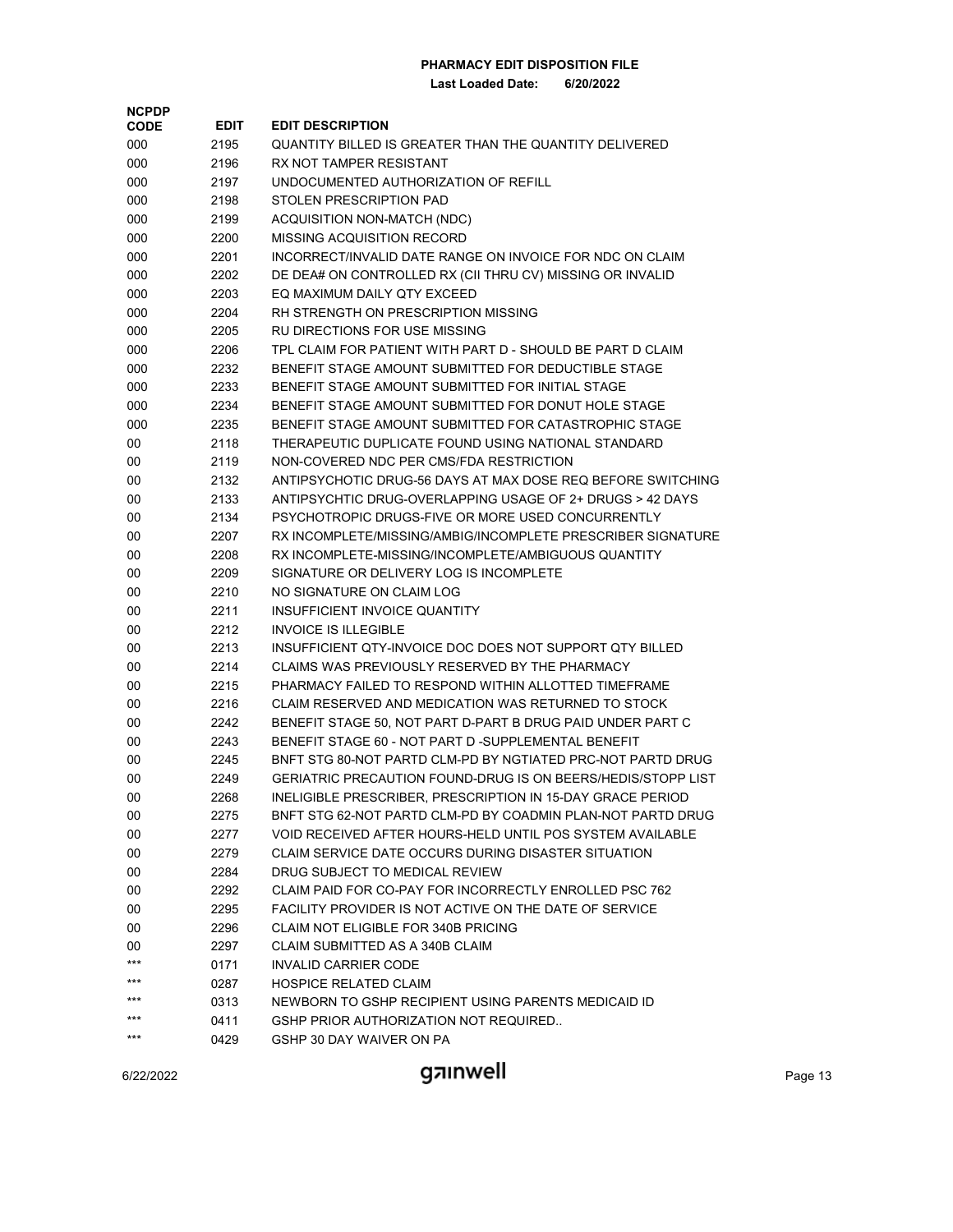| <b>NCPDP</b> |             |                                                              |
|--------------|-------------|--------------------------------------------------------------|
| <b>CODE</b>  | <b>EDIT</b> | <b>EDIT DESCRIPTION</b>                                      |
| 000          | 2195        | QUANTITY BILLED IS GREATER THAN THE QUANTITY DELIVERED       |
| 000          | 2196        | RX NOT TAMPER RESISTANT                                      |
| 000          | 2197        | UNDOCUMENTED AUTHORIZATION OF REFILL                         |
| 000          | 2198        | STOLEN PRESCRIPTION PAD                                      |
| 000          | 2199        | <b>ACQUISITION NON-MATCH (NDC)</b>                           |
| 000          | 2200        | MISSING ACQUISITION RECORD                                   |
| 000          | 2201        | INCORRECT/INVALID DATE RANGE ON INVOICE FOR NDC ON CLAIM     |
| 000          | 2202        | DE DEA# ON CONTROLLED RX (CII THRU CV) MISSING OR INVALID    |
| 000          | 2203        | EQ MAXIMUM DAILY QTY EXCEED                                  |
| 000          | 2204        | RH STRENGTH ON PRESCRIPTION MISSING                          |
| 000          | 2205        | RU DIRECTIONS FOR USE MISSING                                |
| 000          | 2206        | TPL CLAIM FOR PATIENT WITH PART D - SHOULD BE PART D CLAIM   |
| 000          | 2232        | BENEFIT STAGE AMOUNT SUBMITTED FOR DEDUCTIBLE STAGE          |
| 000          | 2233        | BENEFIT STAGE AMOUNT SUBMITTED FOR INITIAL STAGE             |
| 000          | 2234        | BENEFIT STAGE AMOUNT SUBMITTED FOR DONUT HOLE STAGE          |
| 000          | 2235        | BENEFIT STAGE AMOUNT SUBMITTED FOR CATASTROPHIC STAGE        |
| 00           | 2118        | THERAPEUTIC DUPLICATE FOUND USING NATIONAL STANDARD          |
| 00           | 2119        | NON-COVERED NDC PER CMS/FDA RESTRICTION                      |
| 00           | 2132        | ANTIPSYCHOTIC DRUG-56 DAYS AT MAX DOSE REQ BEFORE SWITCHING  |
| 00           | 2133        | ANTIPSYCHTIC DRUG-OVERLAPPING USAGE OF 2+ DRUGS > 42 DAYS    |
| 00           | 2134        | PSYCHOTROPIC DRUGS-FIVE OR MORE USED CONCURRENTLY            |
| 00           | 2207        | RX INCOMPLETE/MISSING/AMBIG/INCOMPLETE PRESCRIBER SIGNATURE  |
| 00           | 2208        | RX INCOMPLETE-MISSING/INCOMPLETE/AMBIGUOUS QUANTITY          |
| 00           | 2209        | SIGNATURE OR DELIVERY LOG IS INCOMPLETE                      |
| 00           | 2210        | NO SIGNATURE ON CLAIM LOG                                    |
| 00           | 2211        | INSUFFICIENT INVOICE QUANTITY                                |
| 00           | 2212        | <b>INVOICE IS ILLEGIBLE</b>                                  |
| 00           | 2213        | INSUFFICIENT QTY-INVOICE DOC DOES NOT SUPPORT QTY BILLED     |
| 00           | 2214        | CLAIMS WAS PREVIOUSLY RESERVED BY THE PHARMACY               |
| 00           | 2215        | PHARMACY FAILED TO RESPOND WITHIN ALLOTTED TIMEFRAME         |
| 00           | 2216        | CLAIM RESERVED AND MEDICATION WAS RETURNED TO STOCK          |
| 00           | 2242        | BENEFIT STAGE 50, NOT PART D-PART B DRUG PAID UNDER PART C   |
| 00           | 2243        | BENEFIT STAGE 60 - NOT PART D -SUPPLEMENTAL BENEFIT          |
| 00           | 2245        | BNFT STG 80-NOT PARTD CLM-PD BY NGTIATED PRC-NOT PARTD DRUG  |
| 00           | 2249        | GERIATRIC PRECAUTION FOUND-DRUG IS ON BEERS/HEDIS/STOPP LIST |
| 00           | 2268        | INELIGIBLE PRESCRIBER, PRESCRIPTION IN 15-DAY GRACE PERIOD   |
| 00           | 2275        | BNFT STG 62-NOT PARTD CLM-PD BY COADMIN PLAN-NOT PARTD DRUG  |
| 00           | 2277        | VOID RECEIVED AFTER HOURS-HELD UNTIL POS SYSTEM AVAILABLE    |
| 00           | 2279        | CLAIM SERVICE DATE OCCURS DURING DISASTER SITUATION          |
| 00           | 2284        | DRUG SUBJECT TO MEDICAL REVIEW                               |
| 00           | 2292        | CLAIM PAID FOR CO-PAY FOR INCORRECTLY ENROLLED PSC 762       |
| 00           | 2295        | FACILITY PROVIDER IS NOT ACTIVE ON THE DATE OF SERVICE       |
| 00           | 2296        | CLAIM NOT ELIGIBLE FOR 340B PRICING                          |
| 00           | 2297        | CLAIM SUBMITTED AS A 340B CLAIM                              |
| ***          | 0171        | <b>INVALID CARRIER CODE</b>                                  |
| $***$        | 0287        | <b>HOSPICE RELATED CLAIM</b>                                 |
| $***$        | 0313        | NEWBORN TO GSHP RECIPIENT USING PARENTS MEDICAID ID          |
| $***$        | 0411        | GSHP PRIOR AUTHORIZATION NOT REQUIRED                        |
| $***$        | 0429        | GSHP 30 DAY WAIVER ON PA                                     |